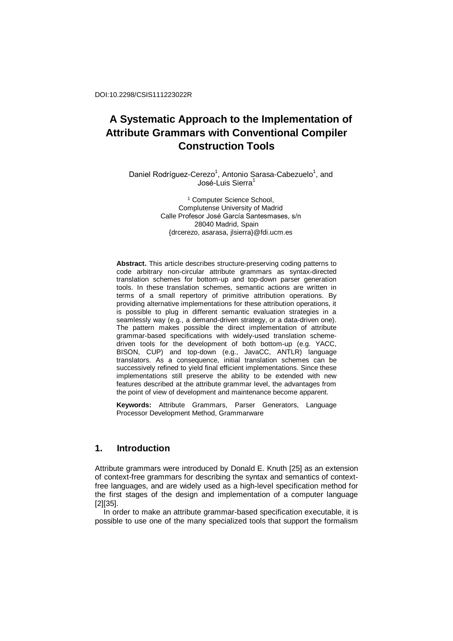Daniel Rodríguez-Cerezo<sup>1</sup>, Antonio Sarasa-Cabezuelo<sup>1</sup>, and José-Luis Sierra<sup>1</sup>

> <sup>1</sup> Computer Science School, Complutense University of Madrid Calle Profesor José García Santesmases, s/n 28040 Madrid, Spain {drcerezo, asarasa, jlsierra}@fdi.ucm.es

**Abstract.** This article describes structure-preserving coding patterns to code arbitrary non-circular attribute grammars as syntax-directed translation schemes for bottom-up and top-down parser generation tools. In these translation schemes, semantic actions are written in terms of a small repertory of primitive attribution operations. By providing alternative implementations for these attribution operations, it is possible to plug in different semantic evaluation strategies in a seamlessly way (e.g., a demand-driven strategy, or a data-driven one). The pattern makes possible the direct implementation of attribute grammar-based specifications with widely-used translation schemedriven tools for the development of both bottom-up (e.g. YACC, BISON, CUP) and top-down (e.g., JavaCC, ANTLR) language translators. As a consequence, initial translation schemes can be successively refined to yield final efficient implementations. Since these implementations still preserve the ability to be extended with new features described at the attribute grammar level, the advantages from the point of view of development and maintenance become apparent.

**Keywords:** Attribute Grammars, Parser Generators, Language Processor Development Method, Grammarware

# **1. Introduction**

Attribute grammars were introduced by Donald E. Knuth [25] as an extension of context-free grammars for describing the syntax and semantics of contextfree languages, and are widely used as a high-level specification method for the first stages of the design and implementation of a computer language [2][35].

In order to make an attribute grammar-based specification executable, it is possible to use one of the many specialized tools that support the formalism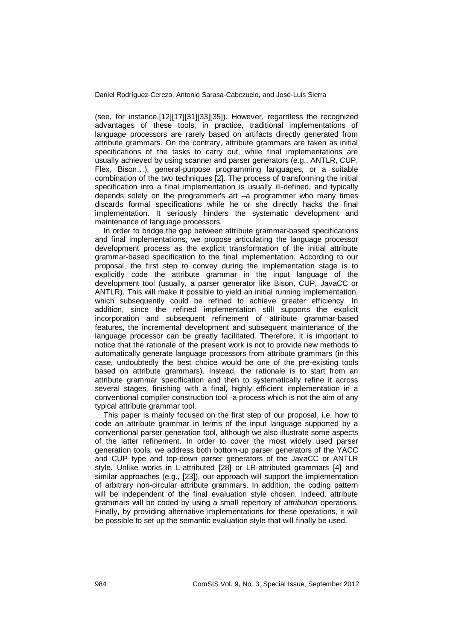(see, for instance,[12][17][31][33][35]). However, regardless the recognized advantages of these tools, in practice, traditional implementations of language processors are rarely based on artifacts directly generated from attribute grammars. On the contrary, attribute grammars are taken as initial specifications of the tasks to carry out, while final implementations are usually achieved by using scanner and parser generators (e.g., ANTLR, CUP, Flex, Bison…), general-purpose programming languages, or a suitable combination of the two techniques [2]. The process of transforming the initial specification into a final implementation is usually ill-defined, and typically depends solely on the programmer's art –a programmer who many times discards formal specifications while he or she directly hacks the final implementation. It seriously hinders the systematic development and maintenance of language processors.

In order to bridge the gap between attribute grammar-based specifications and final implementations, we propose articulating the language processor development process as the explicit transformation of the initial attribute grammar-based specification to the final implementation. According to our proposal, the first step to convey during the implementation stage is to explicitly code the attribute grammar in the input language of the development tool (usually, a parser generator like Bison, CUP, JavaCC or ANTLR). This will make it possible to yield an initial running implementation, which subsequently could be refined to achieve greater efficiency. In addition, since the refined implementation still supports the explicit incorporation and subsequent refinement of attribute grammar-based features, the incremental development and subsequent maintenance of the language processor can be greatly facilitated. Therefore, it is important to notice that the rationale of the present work is not to provide new methods to automatically generate language processors from attribute grammars (in this case, undoubtedly the best choice would be one of the pre-existing tools based on attribute grammars). Instead, the rationale is to start from an attribute grammar specification and then to systematically refine it across several stages, finishing with a final, highly efficient implementation in a conventional compiler construction tool -a process which is not the aim of any typical attribute grammar tool.

This paper is mainly focused on the first step of our proposal, i.e. how to code an attribute grammar in terms of the input language supported by a conventional parser generation tool, although we also illustrate some aspects of the latter refinement. In order to cover the most widely used parser generation tools, we address both bottom-up parser generators of the YACC and CUP type and top-down parser generators of the JavaCC or ANTLR style. Unlike works in L-attributed [28] or LR-attributed grammars [4] and similar approaches (e.g., [23]), our approach will support the implementation of arbitrary non-circular attribute grammars. In addition, the coding pattern will be independent of the final evaluation style chosen. Indeed, attribute grammars will be coded by using a small repertory of *attribution* operations. Finally, by providing alternative implementations for these operations, it will be possible to set up the semantic evaluation style that will finally be used.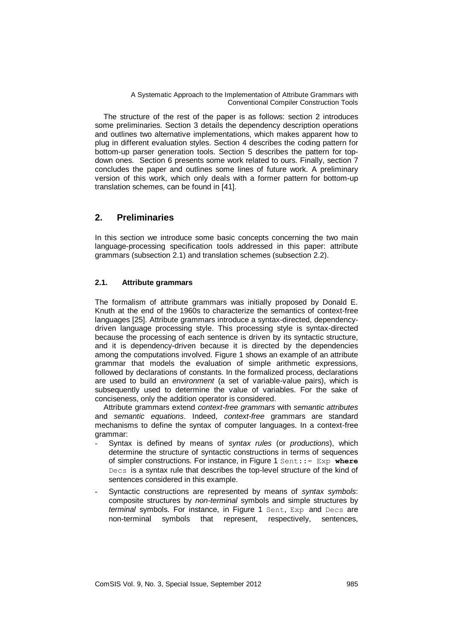The structure of the rest of the paper is as follows: section 2 introduces some preliminaries. Section 3 details the dependency description operations and outlines two alternative implementations, which makes apparent how to plug in different evaluation styles. Section 4 describes the coding pattern for bottom-up parser generation tools. Section 5 describes the pattern for topdown ones. Section 6 presents some work related to ours. Finally, section 7 concludes the paper and outlines some lines of future work. A preliminary version of this work, which only deals with a former pattern for bottom-up translation schemes, can be found in [41].

# **2. Preliminaries**

In this section we introduce some basic concepts concerning the two main language-processing specification tools addressed in this paper: attribute grammars (subsection 2.1) and translation schemes (subsection 2.2).

# **2.1. Attribute grammars**

The formalism of attribute grammars was initially proposed by Donald E. Knuth at the end of the 1960s to characterize the semantics of context-free languages [25]. Attribute grammars introduce a syntax-directed, dependencydriven language processing style. This processing style is syntax-directed because the processing of each sentence is driven by its syntactic structure, and it is dependency-driven because it is directed by the dependencies among the computations involved. Figure 1 shows an example of an attribute grammar that models the evaluation of simple arithmetic expressions, followed by declarations of constants. In the formalized process, declarations are used to build an *environment* (a set of variable-value pairs), which is subsequently used to determine the value of variables. For the sake of conciseness, only the addition operator is considered.

Attribute grammars extend *context-free grammars* with *semantic attributes* and *semantic equations*. Indeed, *context-free* grammars are standard mechanisms to define the syntax of computer languages. In a context-free grammar:

- Syntax is defined by means of *syntax rules* (or *productions*), which determine the structure of syntactic constructions in terms of sequences of simpler constructions. For instance, in Figure 1 Sent::= Exp **where** Decs is a syntax rule that describes the top-level structure of the kind of sentences considered in this example.
- Syntactic constructions are represented by means of *syntax symbols*: composite structures by *non-terminal* symbols and simple structures by *terminal* symbols. For instance, in Figure 1 Sent, Exp and Decs are non-terminal symbols that represent, respectively, sentences,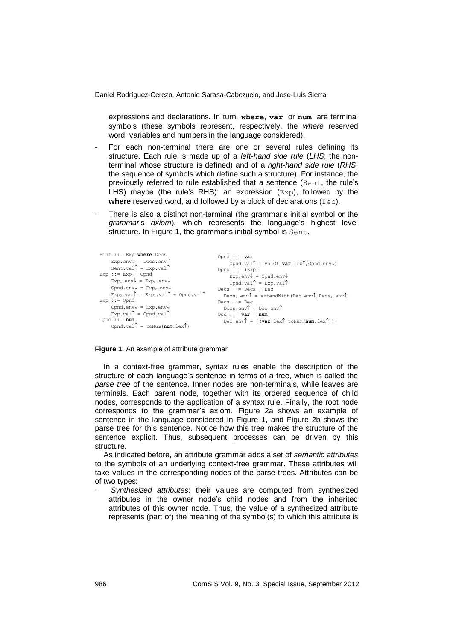expressions and declarations. In turn, **where**, **var** or **num** are terminal symbols (these symbols represent, respectively, the *where* reserved word, variables and numbers in the language considered).

- For each non-terminal there are one or several rules defining its structure. Each rule is made up of a *left-hand side rule* (*LHS*; the nonterminal whose structure is defined) and of a *right-hand side rule* (*RHS*; the sequence of symbols which define such a structure). For instance, the previously referred to rule established that a sentence (Sent, the rule's LHS) maybe (the rule's RHS): an expression  $(Exp)$ , followed by the **where** reserved word, and followed by a block of declarations (Dec).
- There is also a distinct non-terminal (the grammar's initial symbol or the *grammar*'s *axiom*), which represents the language's highest level structure. In Figure 1, the grammar's initial symbol is Sent.

| Sent ::= Exp where Decs                                                    | Opnd ::= $var$                                                                                     |
|----------------------------------------------------------------------------|----------------------------------------------------------------------------------------------------|
| $Exp.\text{env} = Decs.\text{env}$                                         | Opnd.val $\uparrow$ = valOf (var.lex $\uparrow$ , Opnd.env $\downarrow$ )                          |
| Sent.val $\uparrow$ = Exp.val $\uparrow$                                   | Opnd ::= $(Exp)$                                                                                   |
| $Exp : := Exp + Opnd$                                                      | $Exp.\env\} = Opnd.\env\}$                                                                         |
| $Exp_1.\env \downarrow = Exp_0.\env \downarrow$                            | Opnd.val $\uparrow$ = Exp.val $\uparrow$                                                           |
| Opnd.env $\downarrow$ = Exp.env $\downarrow$                               | Decs ::= Decs, Dec                                                                                 |
| $Exp_0$ , val $\uparrow$ = $Exp_1$ , val $\uparrow$ + Opnd, val $\uparrow$ | $Decs_0$ . env $\uparrow$ = extendWith (Dec. env $\uparrow$ , Decs <sub>1</sub> . env $\uparrow$ ) |
| $Exp : :=$ Opnd                                                            | Decs $: :=$ Dec                                                                                    |
| Opnd.env $\downarrow$ = Exp.env $\downarrow$                               | Decs.env $\uparrow$ = Dec.env $\uparrow$                                                           |
| $Exp.val^{\uparrow} = Opnd.val^{\uparrow}$                                 | Dec ::= $var = num$                                                                                |
| Opnd $ ::= num$<br>Opnd.val $\uparrow$ = toNum(num.lex $\uparrow$ )        | Dec.env $\uparrow$ = { (var.lex $\uparrow$ , toNum (num.lex $\uparrow$ ) } }                       |

#### **Figure 1.** An example of attribute grammar

In a context-free grammar, syntax rules enable the description of the structure of each language's sentence in terms of a tree, which is called the *parse tree* of the sentence. Inner nodes are non-terminals, while leaves are terminals. Each parent node, together with its ordered sequence of child nodes, corresponds to the application of a syntax rule. Finally, the root node corresponds to the grammar's axiom. Figure 2a shows an example of sentence in the language considered in Figure 1, and Figure 2b shows the parse tree for this sentence. Notice how this tree makes the structure of the sentence explicit. Thus, subsequent processes can be driven by this structure.

As indicated before, an attribute grammar adds a set of *semantic attributes* to the symbols of an underlying context-free grammar. These attributes will take values in the corresponding nodes of the parse trees. Attributes can be of two types:

- *Synthesized attributes*: their values are computed from synthesized attributes in the owner node's child nodes and from the inherited attributes of this owner node. Thus, the value of a synthesized attribute represents (part of) the meaning of the symbol(s) to which this attribute is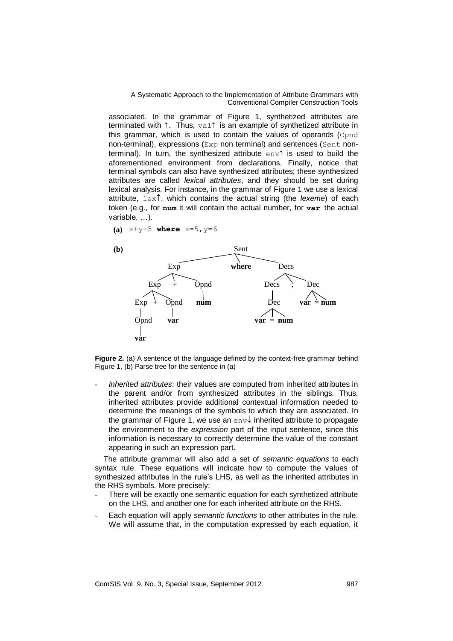associated. In the grammar of Figure 1, synthetized attributes are terminated with  $\uparrow$ . Thus, val $\uparrow$  is an example of synthetized attribute in this grammar, which is used to contain the values of operands (Opnd non-terminal), expressions (Exp non terminal) and sentences (Sent nonterminal). In turn, the synthesized attribute  $env$  is used to build the aforementioned environment from declarations. Finally, notice that terminal symbols can also have synthesized attributes; these synthesized attributes are called *lexical attributes*, and they should be set during lexical analysis. For instance, in the grammar of Figure 1 we use a lexical attribute,  $l = x \hat{ }$ , which contains the actual string (the *lexeme*) of each token (e.g., for **num** it will contain the actual number, for **var** the actual variable, …).

**(a)** x+y+5 **where** x=5,y=6



**Figure 2.** (a) A sentence of the language defined by the context-free grammar behind Figure 1, (b) Parse tree for the sentence in (a)

- *Inherited attributes*: their values are computed from inherited attributes in the parent and/or from synthesized attributes in the siblings. Thus, inherited attributes provide additional contextual information needed to determine the meanings of the symbols to which they are associated. In the grammar of Figure 1, we use an env $\downarrow$  inherited attribute to propagate the environment to the *expression* part of the input sentence, since this information is necessary to correctly determine the value of the constant appearing in such an expression part.

The attribute grammar will also add a set of *semantic equations* to each syntax rule. These equations will indicate how to compute the values of synthesized attributes in the rule's LHS, as well as the inherited attributes in the RHS symbols. More precisely:

- There will be exactly one semantic equation for each synthetized attribute on the LHS, and another one for each inherited attribute on the RHS.
- Each equation will apply *semantic functions* to other attributes in the rule. We will assume that, in the computation expressed by each equation, it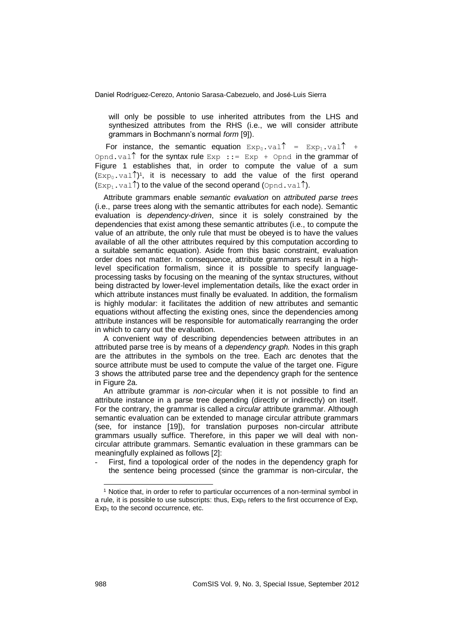will only be possible to use inherited attributes from the LHS and synthesized attributes from the RHS (i.e., we will consider attribute grammars in Bochmann's normal *form* [9]).

For instance, the semantic equation  $Exp_0$ , val =  $Exp_1$ , val  $\uparrow$  + Opnd.val for the syntax rule  $Exp ::= Exp + Opnd$  in the grammar of Figure 1 establishes that, in order to compute the value of a sum  $(\text{Exp}_0.\text{val})$ <sup>1</sup>, it is necessary to add the value of the first operand  $(\text{Exp}_1 \cdot \text{val})$  to the value of the second operand (Opnd.val).

Attribute grammars enable *semantic evaluation* on *attributed parse trees* (i.e., parse trees along with the semantic attributes for each node). Semantic evaluation is *dependency-driven*, since it is solely constrained by the dependencies that exist among these semantic attributes (i.e., to compute the value of an attribute, the only rule that must be obeyed is to have the values available of all the other attributes required by this computation according to a suitable semantic equation). Aside from this basic constraint, evaluation order does not matter. In consequence, attribute grammars result in a highlevel specification formalism, since it is possible to specify languageprocessing tasks by focusing on the meaning of the syntax structures, without being distracted by lower-level implementation details, like the exact order in which attribute instances must finally be evaluated. In addition, the formalism is highly modular: it facilitates the addition of new attributes and semantic equations without affecting the existing ones, since the dependencies among attribute instances will be responsible for automatically rearranging the order in which to carry out the evaluation.

A convenient way of describing dependencies between attributes in an attributed parse tree is by means of a *dependency graph.* Nodes in this graph are the attributes in the symbols on the tree. Each arc denotes that the source attribute must be used to compute the value of the target one. Figure 3 shows the attributed parse tree and the dependency graph for the sentence in Figure 2a.

An attribute grammar is *non-circular* when it is not possible to find an attribute instance in a parse tree depending (directly or indirectly) on itself. For the contrary, the grammar is called a *circular* attribute grammar. Although semantic evaluation can be extended to manage circular attribute grammars (see, for instance [19]), for translation purposes non-circular attribute grammars usually suffice. Therefore, in this paper we will deal with noncircular attribute grammars. Semantic evaluation in these grammars can be meaningfully explained as follows [2]:

First, find a topological order of the nodes in the dependency graph for the sentence being processed (since the grammar is non-circular, the

1

<sup>1</sup> Notice that, in order to refer to particular occurrences of a non-terminal symbol in a rule, it is possible to use subscripts: thus,  $Ex_{0}$  refers to the first occurrence of Exp,  $Exp<sub>1</sub>$  to the second occurrence, etc.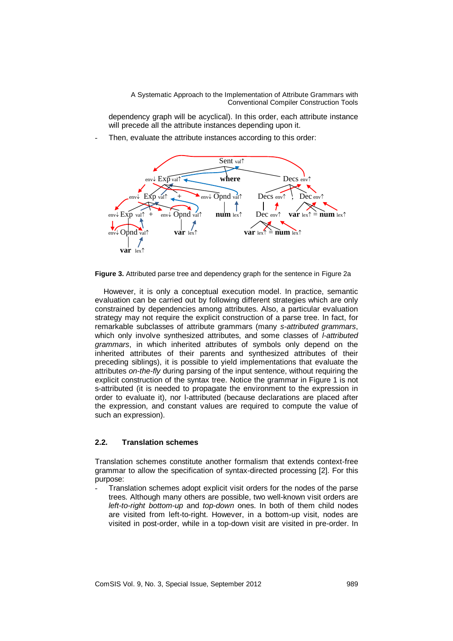dependency graph will be acyclical). In this order, each attribute instance will precede all the attribute instances depending upon it.

Then, evaluate the attribute instances according to this order:



**Figure 3.** Attributed parse tree and dependency graph for the sentence in Figure 2a

However, it is only a conceptual execution model. In practice, semantic evaluation can be carried out by following different strategies which are only constrained by dependencies among attributes. Also, a particular evaluation strategy may not require the explicit construction of a parse tree. In fact, for remarkable subclasses of attribute grammars (many *s-attributed grammars*, which only involve synthesized attributes, and some classes of *l-attributed grammars*, in which inherited attributes of symbols only depend on the inherited attributes of their parents and synthesized attributes of their preceding siblings), it is possible to yield implementations that evaluate the attributes *on-the-fly* during parsing of the input sentence, without requiring the explicit construction of the syntax tree. Notice the grammar in Figure 1 is not s-attributed (it is needed to propagate the environment to the expression in order to evaluate it), nor l-attributed (because declarations are placed after the expression, and constant values are required to compute the value of such an expression).

### **2.2. Translation schemes**

Translation schemes constitute another formalism that extends context-free grammar to allow the specification of syntax-directed processing [2]. For this purpose:

Translation schemes adopt explicit visit orders for the nodes of the parse trees. Although many others are possible, two well-known visit orders are *left-to-right bottom-up* and *top-down* ones. In both of them child nodes are visited from left-to-right. However, in a bottom-up visit, nodes are visited in post-order, while in a top-down visit are visited in pre-order. In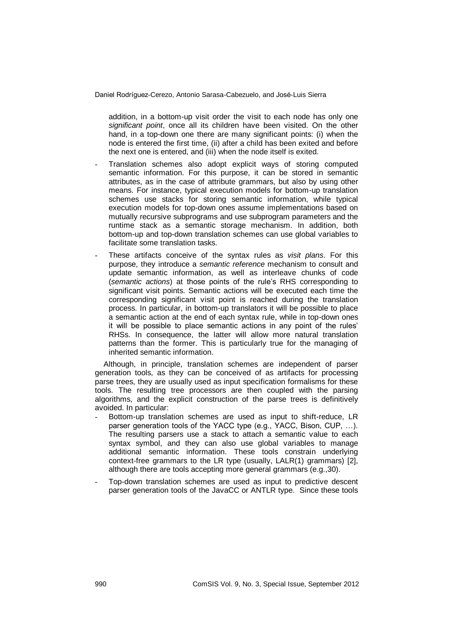addition, in a bottom-up visit order the visit to each node has only one *significant point*, once all its children have been visited. On the other hand, in a top-down one there are many significant points: (i) when the node is entered the first time, (ii) after a child has been exited and before the next one is entered, and (iii) when the node itself is exited.

- Translation schemes also adopt explicit ways of storing computed semantic information. For this purpose, it can be stored in semantic attributes, as in the case of attribute grammars, but also by using other means. For instance, typical execution models for bottom-up translation schemes use stacks for storing semantic information, while typical execution models for top-down ones assume implementations based on mutually recursive subprograms and use subprogram parameters and the runtime stack as a semantic storage mechanism. In addition, both bottom-up and top-down translation schemes can use global variables to facilitate some translation tasks.
- These artifacts conceive of the syntax rules as *visit plans*. For this purpose, they introduce a *semantic reference* mechanism to consult and update semantic information, as well as interleave chunks of code (*semantic actions*) at those points of the rule's RHS corresponding to significant visit points. Semantic actions will be executed each time the corresponding significant visit point is reached during the translation process. In particular, in bottom-up translators it will be possible to place a semantic action at the end of each syntax rule, while in top-down ones it will be possible to place semantic actions in any point of the rules' RHSs. In consequence, the latter will allow more natural translation patterns than the former. This is particularly true for the managing of inherited semantic information.

Although, in principle, translation schemes are independent of parser generation tools, as they can be conceived of as artifacts for processing parse trees, they are usually used as input specification formalisms for these tools. The resulting tree processors are then coupled with the parsing algorithms, and the explicit construction of the parse trees is definitively avoided. In particular:

- Bottom-up translation schemes are used as input to shift-reduce, LR parser generation tools of the YACC type (e.g., YACC, Bison, CUP, …). The resulting parsers use a stack to attach a semantic value to each syntax symbol, and they can also use global variables to manage additional semantic information. These tools constrain underlying context-free grammars to the LR type (usually, LALR(1) grammars) [2], although there are tools accepting more general grammars (e.g.,30).
- Top-down translation schemes are used as input to predictive descent parser generation tools of the JavaCC or ANTLR type. Since these tools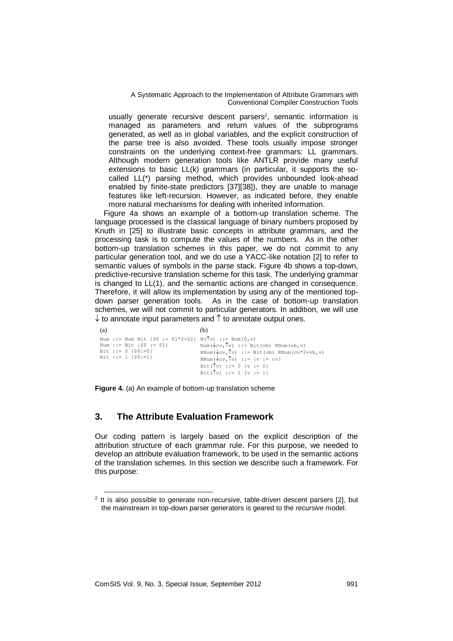usually generate recursive descent parsers<sup>2</sup>, semantic information is managed as parameters and return values of the subprograms generated, as well as in global variables, and the explicit construction of the parse tree is also avoided. These tools usually impose stronger constraints on the underlying context-free grammars: LL grammars. Although modern generation tools like ANTLR provide many useful extensions to basic LL(k) grammars (in particular, it supports the socalled LL(\*) parsing method, which provides unbounded look-ahead enabled by finite-state predictors [37][38]), they are unable to manage features like left-recursion. However, as indicated before, they enable more natural mechanisms for dealing with inherited information.

Figure 4a shows an example of a bottom-up translation scheme. The language processed is the classical language of binary numbers proposed by Knuth in [25] to illustrate basic concepts in attribute grammars, and the processing task is to compute the values of the numbers. As in the other bottom-up translation schemes in this paper, we do not commit to any particular generation tool, and we do use a YACC-like notation [2] to refer to semantic values of symbols in the parse stack. Figure 4b shows a top-down, predictive-recursive translation scheme for this task. The underlying grammar is changed to LL(1), and the semantic actions are changed in consequence. Therefore, it will allow its implementation by using any of the mentioned topdown parser generation tools. As in the case of bottom-up translation schemes, we will not commit to particular generators. In addition, we will use  $\downarrow$  to annotate input parameters and  $\uparrow$  to annotate output ones.

| (a)                                                                                                                                                   | (b)                                                                                                                                                                                                                                                     |
|-------------------------------------------------------------------------------------------------------------------------------------------------------|---------------------------------------------------------------------------------------------------------------------------------------------------------------------------------------------------------------------------------------------------------|
| Num ::= Num Bit {\$\$ := \$1*2+\$2} N( $\hat{v}$ ) ::= Num(0,v)<br>Num ::= Bit $\{\$\$ = \$1\}$<br>Bit ::= $0$ { $$S:=0$ }<br>Bit ::= 1 $\{\$$ \$:=1} | Num( $\sqrt{cv}$ , $\uparrow v$ ) :: = Bit(vb) RNum(vb, v)<br>RNum( $\sqrt{cv}$ , $\sqrt{v}$ ) ::= Bit(vb) RNum( $cv*2+vb$ , v)<br>RNum( $\sqrt{cv} \cdot \sqrt{v}$ ) ::= {v := cv}<br>Bit( $\int v$ ) ::= 0 {v := 0}<br>Bit( $\int v$ ) ::= 1 {v := 1} |

**Figure 4.** (a) An example of bottom-up translation scheme

# **3. The Attribute Evaluation Framework**

Our coding pattern is largely based on the explicit description of the attribution structure of each grammar rule. For this purpose, we needed to develop an attribute evaluation framework, to be used in the semantic actions of the translation schemes. In this section we describe such a framework. For this purpose:

1

 $2$  It is also possible to generate non-recursive, table-driven descent parsers [\[2\]](#page-30-0), but the mainstream in top-down parser generators is geared to the *recursive* model.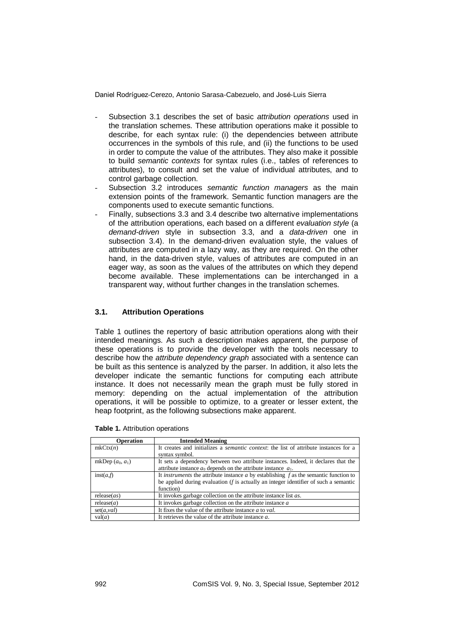- Subsection 3.1 describes the set of basic *attribution operations* used in the translation schemes. These attribution operations make it possible to describe, for each syntax rule: (i) the dependencies between attribute occurrences in the symbols of this rule, and (ii) the functions to be used in order to compute the value of the attributes. They also make it possible to build *semantic contexts* for syntax rules (i.e., tables of references to attributes), to consult and set the value of individual attributes, and to control garbage collection.
- Subsection 3.2 introduces *semantic function managers* as the main extension points of the framework. Semantic function managers are the components used to execute semantic functions.
- Finally, subsections 3.3 and 3.4 describe two alternative implementations of the attribution operations, each based on a different *evaluation style* (a *demand-driven* style in subsection 3.3, and a *data-driven* one in subsection 3.4). In the demand-driven evaluation style, the values of attributes are computed in a lazy way, as they are required. On the other hand, in the data-driven style, values of attributes are computed in an eager way, as soon as the values of the attributes on which they depend become available. These implementations can be interchanged in a transparent way, without further changes in the translation schemes.

# **3.1. Attribution Operations**

Table 1 outlines the repertory of basic attribution operations along with their intended meanings. As such a description makes apparent, the purpose of these operations is to provide the developer with the tools necessary to describe how the *attribute dependency graph* associated with a sentence can be built as this sentence is analyzed by the parser. In addition, it also lets the developer indicate the semantic functions for computing each attribute instance. It does not necessarily mean the graph must be fully stored in memory: depending on the actual implementation of the attribution operations, it will be possible to optimize, to a greater or lesser extent, the heap footprint, as the following subsections make apparent.

| <b>Operation</b>   | <b>Intended Meaning</b>                                                                               |  |  |
|--------------------|-------------------------------------------------------------------------------------------------------|--|--|
| mkCtx(n)           | It creates and initializes a <i>semantic context</i> : the list of attribute instances for a          |  |  |
|                    | syntax symbol.                                                                                        |  |  |
| mkDep $(a_0, a_1)$ | It sets a dependency between two attribute instances. Indeed, it declares that the                    |  |  |
|                    | attribute instance $a_0$ depends on the attribute instance $a_1$ .                                    |  |  |
| inst(a,f)          | It <i>instruments</i> the attribute instance $\alpha$ by establishing $f$ as the semantic function to |  |  |
|                    | be applied during evaluation $(f$ is actually an integer identifier of such a semantic                |  |  |
|                    | function)                                                                                             |  |  |
| release(as)        | It invokes garbage collection on the attribute instance list <i>as</i> .                              |  |  |
| release(a)         | It invokes garbage collection on the attribute instance $a$                                           |  |  |
| set(a, val)        | It fixes the value of the attribute instance $a$ to val.                                              |  |  |
| val(a)             | It retrieves the value of the attribute instance $a$ .                                                |  |  |

**Table 1.** Attribution operations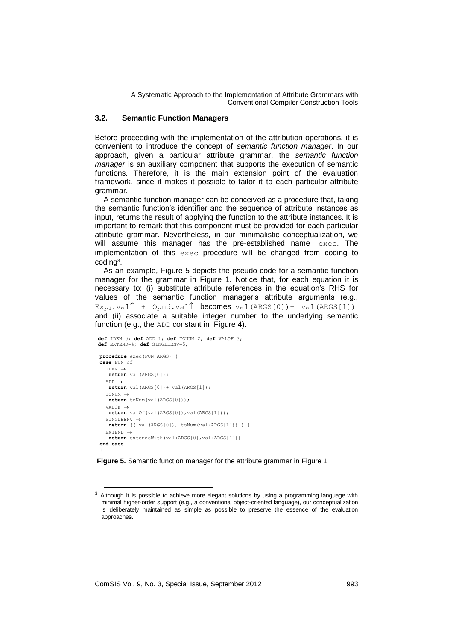### **3.2. Semantic Function Managers**

Before proceeding with the implementation of the attribution operations, it is convenient to introduce the concept of *semantic function manager*. In our approach, given a particular attribute grammar, the *semantic function manager* is an auxiliary component that supports the execution of semantic functions. Therefore, it is the main extension point of the evaluation framework, since it makes it possible to tailor it to each particular attribute grammar.

A semantic function manager can be conceived as a procedure that, taking the semantic function's identifier and the sequence of attribute instances as input, returns the result of applying the function to the attribute instances. It is important to remark that this component must be provided for each particular attribute grammar. Nevertheless, in our minimalistic conceptualization, we will assume this manager has the pre-established name exec. The implementation of this exec procedure will be changed from coding to coding<sup>3</sup> .

As an example, Figure 5 depicts the pseudo-code for a semantic function manager for the grammar in Figure 1. Notice that, for each equation it is necessary to: (i) substitute attribute references in the equation's RHS for values of the semantic function manager's attribute arguments (e.g.,  $Exp_1$ .val  $\uparrow$  + Opnd.val  $\uparrow$  becomes val(ARGS[0]) + val(ARGS[1]), and (ii) associate a suitable integer number to the underlying semantic function (e,g., the ADD constant in Figure 4).

```
def IDEN=0; def ADD=1; def TONUM=2; def VALOF=3;
def EXTEND=4; def SINGLEENV=5; 
procedure exec(FUN,ARGS) {
case FUN of
  TDEN\rightarrow return val(ARGS[0]);
  ADD \rightarrow return val(ARGS[0])+ val(ARGS[1]);
  TONUM \rightarrow return toNum(val(ARGS[0]));
  VALOF \rightarrow return valOf(val(ARGS[0]),val(ARGS[1]));
  SINGLEENV \rightarrow return {( val(ARGS[0]), toNum(val(ARGS[1])) ) }
   EXTEND 
     return extendsWith(val(ARGS[0],val(ARGS[1]))
end case
}
```
-

# **Figure 5.** Semantic function manager for the attribute grammar in Figure 1

<sup>&</sup>lt;sup>3</sup> Although it is possible to achieve more elegant solutions by using a programming language with minimal higher-order support (e.g., a conventional object-oriented language), our conceptualization is deliberately maintained as simple as possible to preserve the essence of the evaluation approaches.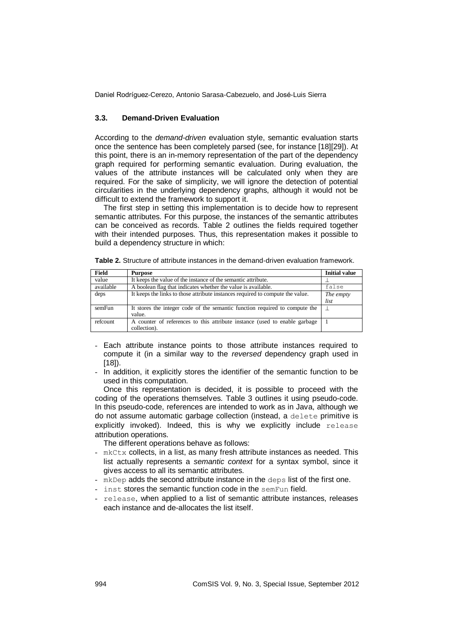## **3.3. Demand-Driven Evaluation**

According to the *demand-driven* evaluation style, semantic evaluation starts once the sentence has been completely parsed (see, for instance [18][29]). At this point, there is an in-memory representation of the part of the dependency graph required for performing semantic evaluation. During evaluation, the values of the attribute instances will be calculated only when they are required. For the sake of simplicity, we will ignore the detection of potential circularities in the underlying dependency graphs, although it would not be difficult to extend the framework to support it.

The first step in setting this implementation is to decide how to represent semantic attributes. For this purpose, the instances of the semantic attributes can be conceived as records. Table 2 outlines the fields required together with their intended purposes. Thus, this representation makes it possible to build a dependency structure in which:

| Field     | <b>Purpose</b>                                                                 | <b>Initial value</b> |
|-----------|--------------------------------------------------------------------------------|----------------------|
| value     | It keeps the value of the instance of the semantic attribute.                  |                      |
| available | A boolean flag that indicates whether the value is available.                  | false                |
| deps      | It keeps the links to those attribute instances required to compute the value. | The empty            |
|           |                                                                                | list                 |
| semFun    | It stores the integer code of the semantic function required to compute the    |                      |
|           | value.                                                                         |                      |
| refcount  | A counter of references to this attribute instance (used to enable garbage     |                      |
|           | collection).                                                                   |                      |

- Each attribute instance points to those attribute instances required to compute it (in a similar way to the *reversed* dependency graph used in  $[18]$ .
- In addition, it explicitly stores the identifier of the semantic function to be used in this computation.

Once this representation is decided, it is possible to proceed with the coding of the operations themselves. Table 3 outlines it using pseudo-code. In this pseudo-code, references are intended to work as in Java, although we do not assume automatic garbage collection (instead, a delete primitive is explicitly invoked). Indeed, this is why we explicitly include release attribution operations.

The different operations behave as follows:

- mkCtx collects, in a list, as many fresh attribute instances as needed. This list actually represents a *semantic context* for a syntax symbol, since it gives access to all its semantic attributes.
- mkDep adds the second attribute instance in the deps list of the first one.
- inst stores the semantic function code in the semFun field.
- release, when applied to a list of semantic attribute instances, releases each instance and de-allocates the list itself.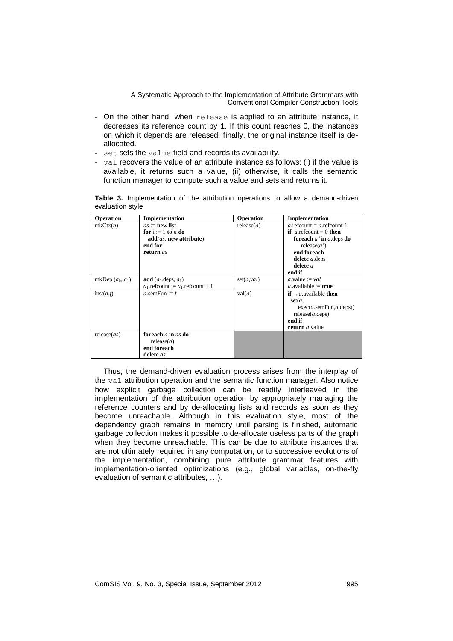- On the other hand, when release is applied to an attribute instance, it decreases its reference count by 1. If this count reaches 0, the instances on which it depends are released; finally, the original instance itself is deallocated.
- set sets the value field and records its availability.
- val recovers the value of an attribute instance as follows: (i) if the value is available, it returns such a value, (ii) otherwise, it calls the semantic function manager to compute such a value and sets and returns it.

**Table 3.** Implementation of the attribution operations to allow a demand-driven evaluation style

| Operation          | Implementation                                                                                    | Operation   | Implementation                                                                                                                                                             |
|--------------------|---------------------------------------------------------------------------------------------------|-------------|----------------------------------------------------------------------------------------------------------------------------------------------------------------------------|
| mkCtx(n)           | $as := new$ list<br>for $i := 1$ to <i>n</i> do<br>add(as, new attribute)<br>end for<br>return as | release(a)  | $a$ refcount: $= a$ refcount-1<br><b>if</b> a refcount = 0 <b>then</b><br>foreach a' in a deps do<br>release(a')<br>end foreach<br>delete $a$ deps<br>delete $a$<br>end if |
| mkDep $(a_0, a_1)$ | add $(a_0 \text{.deps}, a_1)$<br>$a_1$ .refcount := $a_1$ .refcount + 1                           | set(a, val) | a.value := $val$<br><i>a</i> .available := <b>true</b>                                                                                                                     |
| inst(a,f)          | a.semFun := $f$                                                                                   | val(a)      | <b>if</b> $\overline{\phantom{a}}$ available <b>then</b><br>set(a,<br>exec(a.semFun,a.deps))<br>release(a.deps)<br>end if<br>return <i>a</i> .value                        |
| release(as)        | foreach $a$ in $as$ do<br>release(a)<br>end foreach<br>delete as                                  |             |                                                                                                                                                                            |

Thus, the demand-driven evaluation process arises from the interplay of the val attribution operation and the semantic function manager. Also notice how explicit garbage collection can be readily interleaved in the implementation of the attribution operation by appropriately managing the reference counters and by de-allocating lists and records as soon as they become unreachable. Although in this evaluation style, most of the dependency graph remains in memory until parsing is finished, automatic garbage collection makes it possible to de-allocate useless parts of the graph when they become unreachable. This can be due to attribute instances that are not ultimately required in any computation, or to successive evolutions of the implementation, combining pure attribute grammar features with implementation-oriented optimizations (e.g., global variables, on-the-fly evaluation of semantic attributes, …).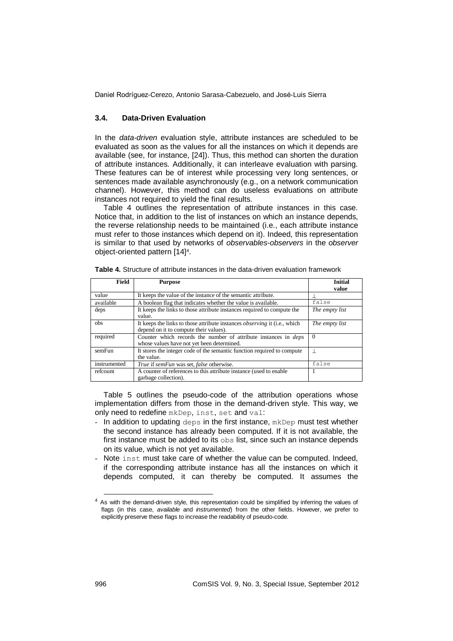## **3.4. Data-Driven Evaluation**

In the *data-driven* evaluation style, attribute instances are scheduled to be evaluated as soon as the values for all the instances on which it depends are available (see, for instance, [24]). Thus, this method can shorten the duration of attribute instances. Additionally, it can interleave evaluation with parsing. These features can be of interest while processing very long sentences, or sentences made available asynchronously (e.g., on a network communication channel). However, this method can do useless evaluations on attribute instances not required to yield the final results.

Table 4 outlines the representation of attribute instances in this case. Notice that, in addition to the list of instances on which an instance depends, the reverse relationship needs to be maintained (i.e., each attribute instance must refer to those instances which depend on it). Indeed, this representation is similar to that used by networks of *observables*-*observers* in the *observer* object-oriented pattern [14] 4 .

| <b>Field</b> | <b>Purpose</b>                                                                   | <b>Initial</b> |
|--------------|----------------------------------------------------------------------------------|----------------|
|              |                                                                                  | value          |
| value        | It keeps the value of the instance of the semantic attribute.                    |                |
| available    | A boolean flag that indicates whether the value is available.                    | false          |
| deps         | It keeps the links to those attribute instances required to compute the          | The empty list |
|              | value.                                                                           |                |
| obs          | It keeps the links to those attribute instances <i>observing</i> it (i.e., which | The empty list |
|              | depend on it to compute their values).                                           |                |
| required     | Counter which records the number of attribute instances in <i>deps</i>           | $\Omega$       |
|              | whose values have not yet been determined.                                       |                |
| semFun       | It stores the integer code of the semantic function required to compute          |                |
|              | the value.                                                                       |                |
| instrumented | True if semFun was set, false otherwise.                                         | false          |
| refcount     | A counter of references to this attribute instance (used to enable               |                |
|              | garbage collection).                                                             |                |

**Table 4.** Structure of attribute instances in the data-driven evaluation framework

Table 5 outlines the pseudo-code of the attribution operations whose implementation differs from those in the demand-driven style. This way, we only need to redefine mkDep, inst, set and val:

- In addition to updating deps in the first instance, mkDep must test whether the second instance has already been computed. If it is not available, the first instance must be added to its obs list, since such an instance depends on its value, which is not yet available.
- Note inst must take care of whether the value can be computed. Indeed, if the corresponding attribute instance has all the instances on which it depends computed, it can thereby be computed. It assumes the

1

 $4$  As with the demand-driven style, this representation could be simplified by inferring the values of flags (in this case, *available* and *instrumented*) from the other fields. However, we prefer to explicitly preserve these flags to increase the readability of pseudo-code.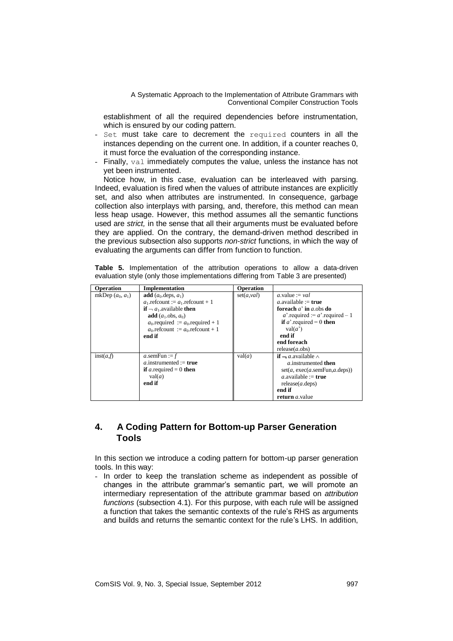establishment of all the required dependencies before instrumentation, which is ensured by our coding pattern.

- Set must take care to decrement the required counters in all the instances depending on the current one. In addition, if a counter reaches 0, it must force the evaluation of the corresponding instance.
- Finally, val immediately computes the value, unless the instance has not yet been instrumented.

Notice how, in this case, evaluation can be interleaved with parsing. Indeed, evaluation is fired when the values of attribute instances are explicitly set, and also when attributes are instrumented. In consequence, garbage collection also interplays with parsing, and, therefore, this method can mean less heap usage. However, this method assumes all the semantic functions used are *strict,* in the sense that all their arguments must be evaluated before they are applied. On the contrary, the demand-driven method described in the previous subsection also supports *non-strict* functions, in which the way of evaluating the arguments can differ from function to function.

**Table 5.** Implementation of the attribution operations to allow a data-driven evaluation style (only those implementations differing from Table 3 are presented)

| Operation          | Implementation                                                                                                                                                                                                                                                   | Operation   |                                                                                                                                                                                                           |
|--------------------|------------------------------------------------------------------------------------------------------------------------------------------------------------------------------------------------------------------------------------------------------------------|-------------|-----------------------------------------------------------------------------------------------------------------------------------------------------------------------------------------------------------|
| mkDep $(a_0, a_1)$ | add $(a_0 \text{.deps}, a_1)$<br>$a_1$ referring $a_1$ referring $+1$<br><b>if</b> $\lnot$ <i>a</i> <sub>1</sub> . available <b>then</b><br>add $(a_1 \cdot obs, a_0)$<br>$a_0$ required := $a_0$ required + 1<br>$a_0$ refeount := $a_0$ refeount + 1<br>end if | set(a, val) | a.value := $val$<br>a available := <b>true</b><br>foreach $a'$ in a obs do<br>a' required $= a$ ' required $- 1$<br>if <i>a</i> '.required = 0 then<br>val(a')<br>end if<br>end foreach<br>release(a.obs) |
| inst(a,f)          | a.semFun := $f$<br>a instrumented := $true$<br><b>if</b> a required = 0 <b>then</b><br>val(a)<br>end if                                                                                                                                                          | val(a)      | $if - a$ available $\wedge$<br>$a$ instrumented then<br>set(a, exec(a.semFun, a.deps))<br>a available := $true$<br>release(a.deps)<br>end if<br><b>return</b> <i>a</i> .value                             |

# **4. A Coding Pattern for Bottom-up Parser Generation Tools**

In this section we introduce a coding pattern for bottom-up parser generation tools. In this way:

- In order to keep the translation scheme as independent as possible of changes in the attribute grammar's semantic part, we will promote an intermediary representation of the attribute grammar based on *attribution functions* (subsection 4.1). For this purpose, with each rule will be assigned a function that takes the semantic contexts of the rule's RHS as arguments and builds and returns the semantic context for the rule's LHS. In addition,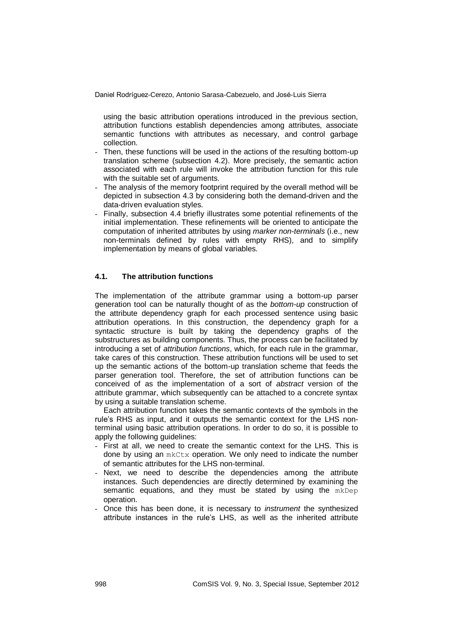using the basic attribution operations introduced in the previous section, attribution functions establish dependencies among attributes, associate semantic functions with attributes as necessary, and control garbage collection.

- Then, these functions will be used in the actions of the resulting bottom-up translation scheme (subsection 4.2). More precisely, the semantic action associated with each rule will invoke the attribution function for this rule with the suitable set of arguments.
- The analysis of the memory footprint required by the overall method will be depicted in subsection 4.3 by considering both the demand-driven and the data-driven evaluation styles.
- Finally, subsection 4.4 briefly illustrates some potential refinements of the initial implementation. These refinements will be oriented to anticipate the computation of inherited attributes by using *marker non-terminals* (i.e., new non-terminals defined by rules with empty RHS), and to simplify implementation by means of global variables.

# **4.1. The attribution functions**

The implementation of the attribute grammar using a bottom-up parser generation tool can be naturally thought of as the *bottom-up* construction of the attribute dependency graph for each processed sentence using basic attribution operations. In this construction, the dependency graph for a syntactic structure is built by taking the dependency graphs of the substructures as building components. Thus, the process can be facilitated by introducing a set of *attribution functions*, which, for each rule in the grammar, take cares of this construction. These attribution functions will be used to set up the semantic actions of the bottom-up translation scheme that feeds the parser generation tool. Therefore, the set of attribution functions can be conceived of as the implementation of a sort of *abstract* version of the attribute grammar, which subsequently can be attached to a concrete syntax by using a suitable translation scheme.

Each attribution function takes the semantic contexts of the symbols in the rule's RHS as input, and it outputs the semantic context for the LHS nonterminal using basic attribution operations. In order to do so, it is possible to apply the following guidelines:

- First at all, we need to create the semantic context for the LHS. This is done by using an  $m kCtx$  operation. We only need to indicate the number of semantic attributes for the LHS non-terminal.
- Next, we need to describe the dependencies among the attribute instances. Such dependencies are directly determined by examining the semantic equations, and they must be stated by using the mkDep operation.
- Once this has been done, it is necessary to *instrument* the synthesized attribute instances in the rule's LHS, as well as the inherited attribute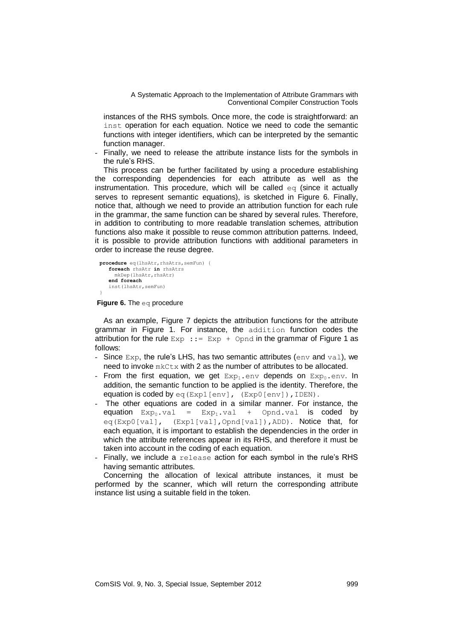instances of the RHS symbols. Once more, the code is straightforward: an inst operation for each equation. Notice we need to code the semantic functions with integer identifiers, which can be interpreted by the semantic function manager.

Finally, we need to release the attribute instance lists for the symbols in the rule's RHS.

This process can be further facilitated by using a procedure establishing the corresponding dependencies for each attribute as well as the instrumentation. This procedure, which will be called  $eq$  (since it actually serves to represent semantic equations), is sketched in Figure 6. Finally, notice that, although we need to provide an attribution function for each rule in the grammar, the same function can be shared by several rules. Therefore, in addition to contributing to more readable translation schemes, attribution functions also make it possible to reuse common attribution patterns. Indeed, it is possible to provide attribution functions with additional parameters in order to increase the reuse degree.

```
procedure eq(lhsAtr, rhsAtrs, semFun) {
    foreach rhsAtr in rhsAtrs 
      mkDep(lhsAtr,rhsAtr)
    end foreach
    inst(lhsAtr,semFun)
}
```
**Figure 6.** The eq procedure

As an example, Figure 7 depicts the attribution functions for the attribute grammar in Figure 1. For instance, the addition function codes the attribution for the rule  $Exp := Exp + Opnd$  in the grammar of Figure 1 as follows:

- Since  $Exp$ , the rule's LHS, has two semantic attributes (env and val), we need to invoke mkCtx with 2 as the number of attributes to be allocated.
- From the first equation, we get  $Exp_1$ , env depends on  $Exp_0$ , env. In addition, the semantic function to be applied is the identity. Therefore, the equation is coded by eq(Exp1[env], (Exp0[env]), IDEN).
- The other equations are coded in a similar manner. For instance, the equation  $Exp_0$ , val =  $Exp_1$ , val + Opnd, val is coded by eq(Exp0[val], (Exp1[val],Opnd[val]),ADD). Notice that, for each equation, it is important to establish the dependencies in the order in which the attribute references appear in its RHS, and therefore it must be taken into account in the coding of each equation.
- Finally, we include a release action for each symbol in the rule's RHS having semantic attributes.

Concerning the allocation of lexical attribute instances, it must be performed by the scanner, which will return the corresponding attribute instance list using a suitable field in the token.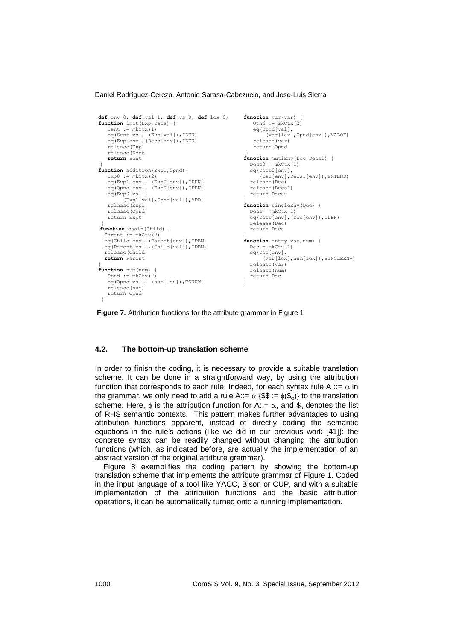```
100 Comsister in the computer of the computer of the computer of the computer of the computer of the computer of the computer of the computer of the computer of the computer of the computer of the computer of the comput
function init(Exp,Decs) {
    Sent := mkCtx(1)
    eq(Sent[vs], (Exp[val]), IDEN)
    eq(Exp[env],(Decs[env]),IDEN)
     release(Exp) 
     release(Decs)
     return Sent
 }
 function addition(Exp1, Opnd) {
  Exp0 := mkCtx(2)
 eq(Exp1[env], (Exp0[env]),IDEN)
 eq(Opnd[env], (Exp0[env]),IDEN)
     eq(Exp0[val],
           (Exp1[val],Opnd[val]),ADD)
     release(Exp1)
     release(Opnd)
     return Exp0
 }
function chain(Child) {
   Parent := mkCtx(2)
    eq(Child[env],(Parent[env]),IDEN)
   eq(Parent[val],(Child[val]),IDEN) 
    release(Child) 
    return Parent
 }
 function num(num) {
    Opnd := mkCtx(2)
     eq(Opnd[val], (num[lex]),TONUM)
     release(num)
     return Opnd
  }
                                                          function var(var) {
                                                              Opnd := mkCtx(2)
                                                              eq(Opnd[val],
                                                                    (var[lex],Opnd[env]),VALOF)
                                                               release(var)
                                                              return Opnd
                                                           }<br>function mutiEnv(Dec,Decs1) {
                                                            Decs0 = mkCtx(1) eq(Decs0[env],
                                                                  (Dec[env],Decs1[env]),EXTEND)
                                                            release(Dec)
 release(Decs1)
                                                             return Decs0
                                                           }
                                                          function singleEnv(Dec) {
                                                            Decs = mkCtx(1) eq(Decs[env],(Dec[env]),IDEN)
                                                              release(Dec)
                                                              return Decs
                                                           }
function entry(var,num) {
                                                             Dec = mkCtx(1) eq(Dec[env],
                                                                   (var[lex],num[lex]),SINGLEENV)
                                                              release(var)
                                                              release(num)
                                                              return Dec
                                                           }
```
**Figure 7.** Attribution functions for the attribute grammar in Figure 1

#### **4.2. The bottom-up translation scheme**

In order to finish the coding, it is necessary to provide a suitable translation scheme. It can be done in a straightforward way, by using the attribution function that corresponds to each rule. Indeed, for each syntax rule A ::=  $\alpha$  in the grammar, we only need to add a rule A::=  $\alpha$  {\$\$ :=  $\phi$ (\$<sub>*a*</sub>)} to the translation scheme. Here,  $\phi$  is the attribution function for A::=  $\alpha$ , and  $\phi_{\alpha}$  denotes the list of RHS semantic contexts. This pattern makes further advantages to using attribution functions apparent, instead of directly coding the semantic equations in the rule's actions (like we did in our previous work [41]): the concrete syntax can be readily changed without changing the attribution functions (which, as indicated before, are actually the implementation of an abstract version of the original attribute grammar).

Figure 8 exemplifies the coding pattern by showing the bottom-up translation scheme that implements the attribute grammar of Figure 1. Coded in the input language of a tool like YACC, Bison or CUP, and with a suitable implementation of the attribution functions and the basic attribution operations, it can be automatically turned onto a running implementation.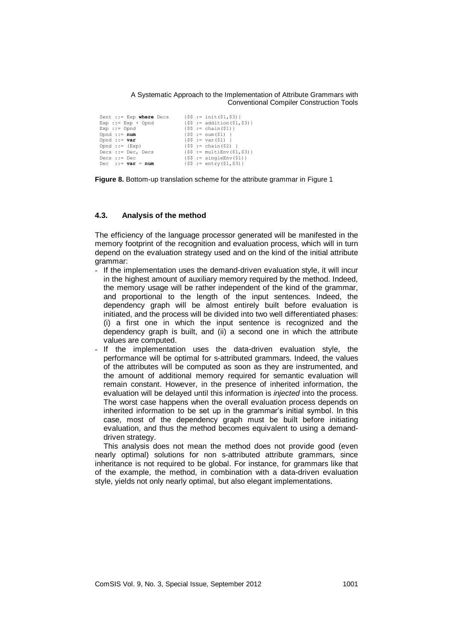Sent ::= Exp **where** Decs  ${S$  := init(\$1,\$3)} Exp ::= Exp + Opnd  ${$S; := addition(S1, S3)$}$ <br>Exp ::= Opnd  ${S; := chain(S1)}$ Exp : = Opnd  $\{ $ $ := \text{ chain}( $1) \}$ <br>
Opnd : = **num**  $\{ $ $ := \text{ num}( $1) \}$ Opnd ::= **num**  ${55 := num(51)}$ <br>
Opnd ::= **var**  ${55 := var(51)}$ Opnd ::= **var** {\$\$ := var(\$1) } Opnd ::= (Exp) {\$\$ := chain(\$2) } Decs ::= Dec, Decs {\$\$ := multiEnv(\$1,\$3)} Decs ::= Dec  ${$3$ := singleEnv($1)$}$ <br>
Dec ::= **var** = **num**  ${$S$ := entry(S1.53)$}$ Dec ::= **var** = **num** {\$\$ := entry(\$1,\$3)}

**Figure 8.** Bottom-up translation scheme for the attribute grammar in Figure 1

### **4.3. Analysis of the method**

The efficiency of the language processor generated will be manifested in the memory footprint of the recognition and evaluation process, which will in turn depend on the evaluation strategy used and on the kind of the initial attribute grammar:

- If the implementation uses the demand-driven evaluation style, it will incur in the highest amount of auxiliary memory required by the method. Indeed, the memory usage will be rather independent of the kind of the grammar, and proportional to the length of the input sentences. Indeed, the dependency graph will be almost entirely built before evaluation is initiated, and the process will be divided into two well differentiated phases: (i) a first one in which the input sentence is recognized and the dependency graph is built, and (ii) a second one in which the attribute values are computed.
- If the implementation uses the data-driven evaluation style, the performance will be optimal for s-attributed grammars. Indeed, the values of the attributes will be computed as soon as they are instrumented, and the amount of additional memory required for semantic evaluation will remain constant. However, in the presence of inherited information, the evaluation will be delayed until this information is *injected* into the process. The worst case happens when the overall evaluation process depends on inherited information to be set up in the grammar's initial symbol. In this case, most of the dependency graph must be built before initiating evaluation, and thus the method becomes equivalent to using a demanddriven strategy.

This analysis does not mean the method does not provide good (even nearly optimal) solutions for non s-attributed attribute grammars, since inheritance is not required to be global. For instance, for grammars like that of the example, the method, in combination with a data-driven evaluation style, yields not only nearly optimal, but also elegant implementations.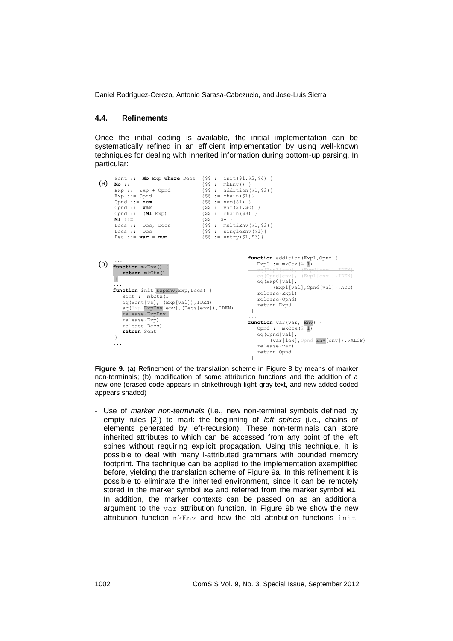### **4.4. Refinements**

Once the initial coding is available, the initial implementation can be systematically refined in an efficient implementation by using well-known techniques for dealing with inherited information during bottom-up parsing. In particular:

```
(b) \frac{...}{\epsilon}(a) Mo ::=Sent ::= Mo Exp where Decs {$$ := init($1,$2,$4) }
          Mo ::=<br>
Exp ::= Exp + Opnd {$$ := addition($1,$3)}
        Exp ::= Exp + opnd \text{Exp} ::= Opnd \text{Exp} ::= chain($1)}<br>
Exp ::= opnd \text{Exp} \text{Exp} \text{Exp} \text{Exp} \text{Exp} \text{Exp} \text{Exp} \text{Exp} \text{Exp} \text{Exp} \text{Exp} \text{Exp} \text{Exp} \text{Exp} \text{Exp} \text{Exp} \text{Exp} \text{Exp} \text{Opnd ::= num<br>
0pnd ::= var<br>
0pnd ::= (M1 Exp)<br>
4 ($5 := chain($3) }<br>
4 ($5 := chain($3) }<br>
4 ($5 := chain($3) }<br>
1 ($5 = $-1)<br>
2 ($5 := multiEnv($1,$3) }<br>
2 ($5 := multiEnv($1,$3) }<br>
2 ($5 := multiEnv($1,$3) }<br>
2 ($5
         function mkEnv() {
 return mkCtx(1)
}
...
        function init (ExpEnv, Exp, Decs) {
              Sent := \operatorname{mkCtx(1)} eq(Sent[vs], (Exp[val]),IDEN)
          eq(Exp ExpEnv[env],(Decs[env]),IDEN)
 release(ExpEnv)
               release(Exp) 
              release(Decs)
              return Sent
         }
        ...
                                                                                          function addition(Exp1,Opnd){
                                                                                              Exp0 := mkCtx (\angle 1)
                                                                                          =eq(Expl[env], \Gammaeq(Opnd[env], (Exp1[env]), IDEN)<br>
eq(Exp0[val],
                                                                                                        (Exp1[val],Opnd[val]),ADD)
                                                                                            release(Exp1)
 release(Opnd)
 return Exp0
                                                                                        \longrightarrow...
                                                                                          function var (var, Env) {
                                                                                          Opnd := mkCtx(21) eq(Opnd[val],
                                                                                                       (var[lex], Opnd Env[env]), VALOF)
                                                                                                release(var)
```
Figure 9. (a) Refinement of the translation scheme in Figure 8 by means of marker non-terminals; (b) modification of some attribution functions and the addition of a new one (erased code appears in strikethrough light-gray text, and new added coded appears shaded)

- Use of *marker non-terminals* (i.e., new non-terminal symbols defined by empty rules [2]) to mark the beginning of *left spines* (i.e., chains of elements generated by left-recursion). These non-terminals can store inherited attributes to which can be accessed from any point of the left spines without requiring explicit propagation. Using this technique, it is possible to deal with many l-attributed grammars with bounded memory footprint. The technique can be applied to the implementation exemplified before, yielding the translation scheme of Figure 9a. In this refinement it is possible to eliminate the inherited environment, since it can be remotely stored in the marker symbol **Mo** and referred from the marker symbol **M1**. In addition, the marker contexts can be passed on as an additional argument to the var attribution function. In Figure 9b we show the new attribution function  $m$ <sub>kEnv</sub> and how the old attribution functions init,

return Opnd

 $\lambda$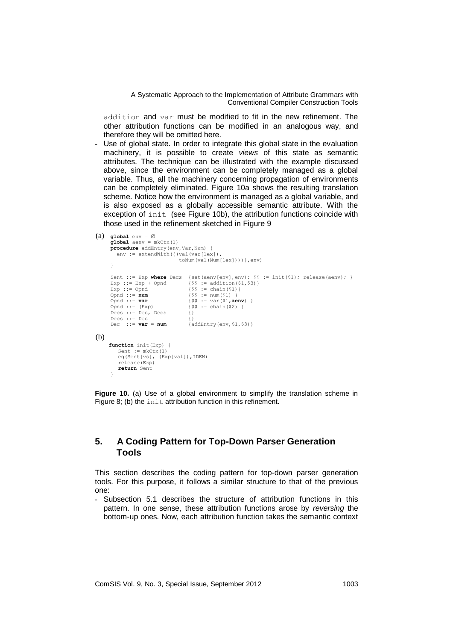addition and var must be modified to fit in the new refinement. The other attribution functions can be modified in an analogous way, and therefore they will be omitted here.

Use of global state. In order to integrate this global state in the evaluation machinery, it is possible to create *views* of this state as semantic attributes. The technique can be illustrated with the example discussed above, since the environment can be completely managed as a global variable. Thus, all the machinery concerning propagation of environments can be completely eliminated. Figure 10a shows the resulting translation scheme. Notice how the environment is managed as a global variable, and is also exposed as a globally accessible semantic attribute. With the exception of init (see Figure 10b), the attribution functions coincide with those used in the refinement sketched in Figure 9

```
(b)
(a) q\text{lobal env} = \emptysetqlobal aenv = mkCtx(1)procedure addEntry(env,Var,Num) {
         env := extendWith({(val(var[lex]),
                                           toNum(val(Num[lex])))},env)
       }
       Sent ::= Exp where Decs {set(aenv[env],env); \$ := init($1); release(aenv); }<br>Exp ::= Exp + Opnd {\$ := addition($1,$3)}
                                              {\$ := addition($1,$3)}<br>{$$ := chain($1)}
       Exp ::= Opnd<br>Opnd ::= num
                                               \{$$ := num($1) }
                                               Opnd ::= var {$$ := var($1,aenv) }
       \begin{align*}\n\text{Open} & \text{if } \text{Open} \\
\text{Open} & \text{if } \text{Exp} \\
\text{Decs} & \text{if } \text{Decs}\n\end{align*} \qquad \qquad \{\$\$ := \text{van}(\$\{1, \text{aenv}\} \) \}Decs ::= Dec, Decs {}
       Decs ::= Dec<br>Dec ::= var = numDec ::= var = num {addEntry(env,$1,$3)}
      function init(Exp) {
           Sent := mkCtx(1)
            eq(Sent[vs], (Exp[val]),IDEN)
            release(Exp) 
            return Sent
        }
```
**Figure 10.** (a) Use of a global environment to simplify the translation scheme in Figure 8; (b) the init attribution function in this refinement.

# **5. A Coding Pattern for Top-Down Parser Generation Tools**

This section describes the coding pattern for top-down parser generation tools. For this purpose, it follows a similar structure to that of the previous one:

- Subsection 5.1 describes the structure of attribution functions in this pattern. In one sense, these attribution functions arose by *reversing* the bottom-up ones. Now, each attribution function takes the semantic context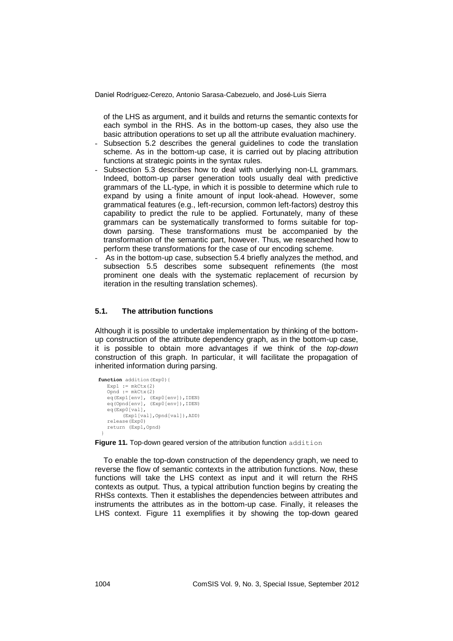of the LHS as argument, and it builds and returns the semantic contexts for each symbol in the RHS. As in the bottom-up cases, they also use the basic attribution operations to set up all the attribute evaluation machinery.

- Subsection 5.2 describes the general guidelines to code the translation scheme. As in the bottom-up case, it is carried out by placing attribution functions at strategic points in the syntax rules.
- Subsection 5.3 describes how to deal with underlying non-LL grammars. Indeed, bottom-up parser generation tools usually deal with predictive grammars of the LL-type, in which it is possible to determine which rule to expand by using a finite amount of input look-ahead. However, some grammatical features (e.g., left-recursion, common left-factors) destroy this capability to predict the rule to be applied. Fortunately, many of these grammars can be systematically transformed to forms suitable for topdown parsing. These transformations must be accompanied by the transformation of the semantic part, however. Thus, we researched how to perform these transformations for the case of our encoding scheme.
- As in the bottom-up case, subsection 5.4 briefly analyzes the method, and subsection 5.5 describes some subsequent refinements (the most prominent one deals with the systematic replacement of recursion by iteration in the resulting translation schemes).

# **5.1. The attribution functions**

Although it is possible to undertake implementation by thinking of the bottomup construction of the attribute dependency graph, as in the bottom-up case, it is possible to obtain more advantages if we think of the *top-down* construction of this graph. In particular, it will facilitate the propagation of inherited information during parsing.

```
function addition(Exp0){
 Exp1 := mkCtx(2)
 Opnd := mkCtx(2)
 eq(Exp1[env], (Exp0[env]),IDEN)
 eq(Opnd[env], (Exp0[env]),IDEN)
    eq(Exp0[val],
            (Exp1[val],Opnd[val]),ADD)
    release(Exp0)
    return (Exp1,Opnd)
 }
```
Figure 11. Top-down geared version of the attribution function addition

To enable the top-down construction of the dependency graph, we need to reverse the flow of semantic contexts in the attribution functions. Now, these functions will take the LHS context as input and it will return the RHS contexts as output. Thus, a typical attribution function begins by creating the RHSs contexts. Then it establishes the dependencies between attributes and instruments the attributes as in the bottom-up case. Finally, it releases the LHS context. Figure 11 exemplifies it by showing the top-down geared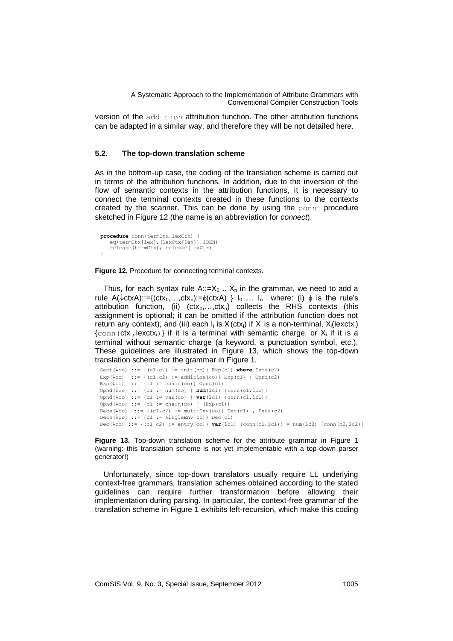version of the addition attribution function. The other attribution functions can be adapted in a similar way, and therefore they will be not detailed here.

## **5.2. The top-down translation scheme**

As in the bottom-up case, the coding of the translation scheme is carried out in terms of the attribution functions. In addition, due to the inversion of the flow of semantic contexts in the attribution functions, it is necessary to connect the terminal contexts created in these functions to the contexts created by the scanner. This can be done by using the conn procedure sketched in Figure 12 (the name is an abbreviation for *connect*).

```
procedure conn(termCtx,lexCtx) {
   eq(termCtx[lex],(lexCtx[lex]),IDEN)
    release(termCtx); release(lexCtx) 
}
```
**Figure 12.** Procedure for connecting terminal contexts.

Thus, for each syntax rule  $A::=X_0$ ..  $X_n$  in the grammar, we need to add a rule A( $\text{cot}$ XA)::={(ctx<sub>0</sub>,...,ctx<sub>n</sub>):= $\phi$ (ctxA) }  $I_0$  ...  $I_n$  where: (i)  $\phi$  is the rule's attribution function, (ii)  $(ctx_0,...,ctx_n)$  collects the RHS contexts (this assignment is optional; it can be omitted if the attribution function does not return any context), and (iii) each  $I_i$  is  $X_i$ (ctx<sub>i</sub>) if  $X_i$  is a non-terminal,  $X_i$ (lexctx<sub>i</sub>)  $\{\text{conn}(\text{ctx}_i,\text{lexctx}_i)\}$  if it is a terminal with semantic charge, or  $X_i$  if it is a terminal without semantic charge (a keyword, a punctuation symbol, etc.). These guidelines are illustrated in Figure 13, which shows the top-down translation scheme for the grammar in Figure 1.

```
Sent(\downarrowco) ::= {(cl, c2) := init(co)} Exp(c1) where Decs(c2)
Exp(\downarrow co) := {(c1, c2) := addition(co)} Exp(c1) + Opnd(c2)
Exp(\downarrow co) ::= {c1 := chain(co)} Opnd(c1)
Opnd(\downarrowco) ::= {c1 := num(co) } num(lc1) {conn(c1,lc1)}
Opnd(\downarrowco) ::= {c1 := var(co) } var(lc1) {conn(c1, lc1)}
Opnd(\downarrowco) ::= {c1 := chain(co) } (Exp(c1))
Decs(\downarrowco) ::= {(c1,c2) := multiEnv(co)} Dec(c1), Decs(c2)
Decs(\downarrow co) ::= {c1 := singleEnv(co)} Dec(c1)
\text{Dec}(\downarrow \text{co}) \text{ ::= } \{(\text{cl}, \text{c2}) \text{ :=} \text{entry}(\text{co})\} \text{ var}(\text{lc1}) \text{ {conn}(\text{cl}, \text{lc1})\} = \text{num}(\text{lc2}) \text{ {conn}(\text{c2}, \text{lc2})}
```
**Figure 13.** Top-down translation scheme for the attribute grammar in Figure 1 (warning: this translation scheme is not yet implementable with a top-down parser generator!)

Unfortunately, since top-down translators usually require LL underlying context-free grammars, translation schemes obtained according to the stated guidelines can require further transformation before allowing their implementation during parsing. In particular, the context-free grammar of the translation scheme in Figure 1 exhibits left-recursion, which make this coding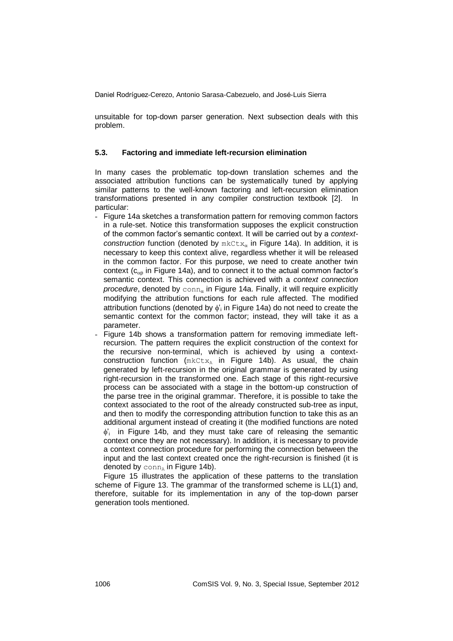unsuitable for top-down parser generation. Next subsection deals with this problem.

### **5.3. Factoring and immediate left-recursion elimination**

In many cases the problematic top-down translation schemes and the associated attribution functions can be systematically tuned by applying similar patterns to the well-known factoring and left-recursion elimination transformations presented in any compiler construction textbook [2]. In particular:

- Figure 14a sketches a transformation pattern for removing common factors in a rule-set. Notice this transformation supposes the explicit construction of the common factor's semantic context. It will be carried out by a *contextconstruction* function (denoted by  $mkCtx_a$  in Figure 14a). In addition, it is necessary to keep this context alive, regardless whether it will be released in the common factor. For this purpose, we need to create another twin context ( $c_{\alpha}$  in Figure 14a), and to connect it to the actual common factor's semantic context. This connection is achieved with a *context connection procedure*, denoted by  $conn_{\alpha}$  in Figure 14a. Finally, it will require explicitly modifying the attribution functions for each rule affected. The modified attribution functions (denoted by  $\phi_i$  in Figure 14a) do not need to create the semantic context for the common factor; instead, they will take it as a parameter.
- Figure 14b shows a transformation pattern for removing immediate leftrecursion. The pattern requires the explicit construction of the context for the recursive non-terminal, which is achieved by using a contextconstruction function  $(mkCtx_A)$  in Figure 14b). As usual, the chain generated by left-recursion in the original grammar is generated by using right-recursion in the transformed one. Each stage of this right-recursive process can be associated with a stage in the bottom-up construction of the parse tree in the original grammar. Therefore, it is possible to take the context associated to the root of the already constructed sub-tree as input, and then to modify the corresponding attribution function to take this as an additional argument instead of creating it (the modified functions are noted  $\phi$ ; in Figure 14b, and they must take care of releasing the semantic context once they are not necessary). In addition, it is necessary to provide a context connection procedure for performing the connection between the input and the last context created once the right-recursion is finished (it is denoted by  $\text{conn}_{A}$  in Figure 14b).

Figure 15 illustrates the application of these patterns to the translation scheme of Figure 13. The grammar of the transformed scheme is LL(1) and, therefore, suitable for its implementation in any of the top-down parser generation tools mentioned.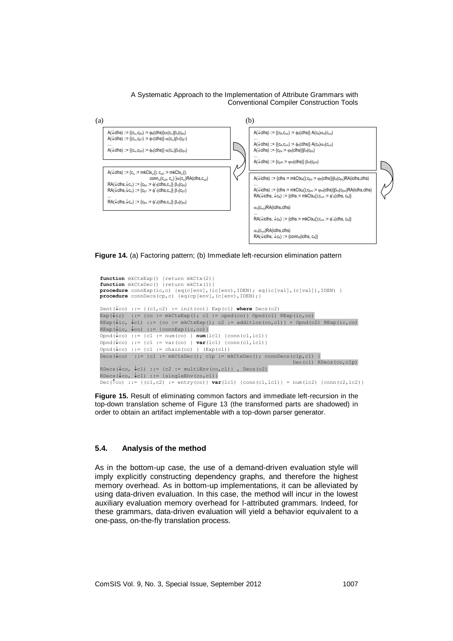



**Figure 14.** (a) Factoring pattern; (b) Immediate left-recursion elimination pattern

```
function mkCtxExp() {return mkCtx(2)}
function mkCtxDec() {return mkCtx(1)}
procedure connExp(ic,c) {eq(c[env],(ic[env),IDEN); eq(ic[val],(c[val]),IDEN) }
procedure connDecs(cp,c) {eq(cp[env],(c[env),IDEN);}
Sent(\downarrowco) ::= {(c1,c2) := init(co)} Exp(c1) where Decs(c2)
Exp(\text{Pic}) ::= {co := mkCtxExp(); c1 := opnd(co)} Opnd(c1) RExp(ic,co)
RExp(\text{Pic}_\mathcal{P}(t), t) := \{co := mkCtxExp(); c2 := addition(co, c1) \} + Opnd(c2) RExp(ic, co)RExp(\text{Pic}, \text{Loc}) ::= {connExp(ic,co)}
\text{Opnd}(\sqrt{co}) ::= {c1 := num(co) } \text{num}(1c1) {conn(c1,1c1)}
Opnd(\downarrowco) ::= {c1 := var(co) } var(lc1) {conn(c1,lc1)}
Omod(lcon := \{c1 := chain(c0) \mid (Exp(c1))\}\text{Decs}(\downarrow \text{co}) := {c1 := mkCtxDec(); c1p := mkCtxDec(); connDecs(c1p,c1) }
                                                                          Dec(c1) RDecs(co,c1p)
RDecs(\downarrowco, \downarrowc1) ::= {c2 := multiEnv(co,c1)}, Decs(c2)
RDecs(\downarrowco, \downarrowc1) ::= {singleEnv(co,c1)}
Dec(\hat{c}) := \{ (c1, c2) := entry(c0) \} var(lc1) \{conn(c1, lc1) \} = num(lc2) \{conn(c2, lc2) \}
```
**Figure 15.** Result of eliminating common factors and immediate left-recursion in the top-down translation scheme of Figure 13 (the transformed parts are shadowed) in order to obtain an artifact implementable with a top-down parser generator.

### **5.4. Analysis of the method**

As in the bottom-up case, the use of a demand-driven evaluation style will imply explicitly constructing dependency graphs, and therefore the highest memory overhead. As in bottom-up implementations, it can be alleviated by using data-driven evaluation. In this case, the method will incur in the lowest auxiliary evaluation memory overhead for l-attributed grammars. Indeed, for these grammars, data-driven evaluation will yield a behavior equivalent to a one-pass, on-the-fly translation process.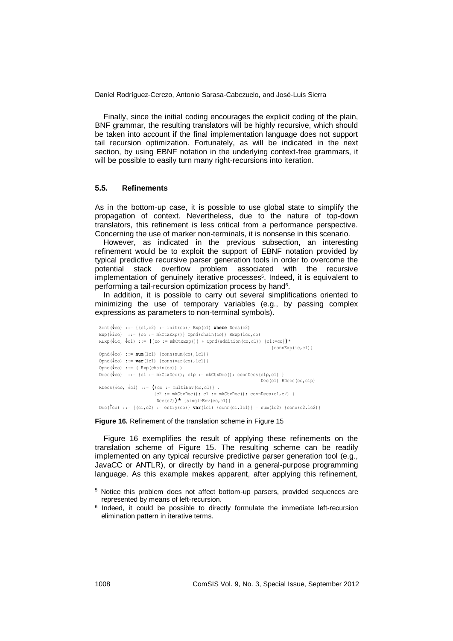Finally, since the initial coding encourages the explicit coding of the plain, BNF grammar, the resulting translators will be highly recursive, which should be taken into account if the final implementation language does not support tail recursion optimization. Fortunately, as will be indicated in the next section, by using EBNF notation in the underlying context-free grammars, it will be possible to easily turn many right-recursions into iteration.

### **5.5. Refinements**

As in the bottom-up case, it is possible to use global state to simplify the propagation of context. Nevertheless, due to the nature of top-down translators, this refinement is less critical from a performance perspective. Concerning the use of marker non-terminals, it is nonsense in this scenario.

However, as indicated in the previous subsection, an interesting refinement would be to exploit the support of EBNF notation provided by typical predictive recursive parser generation tools in order to overcome the potential stack overflow problem associated with the recursive implementation of genuinely iterative processes<sup>5</sup>. Indeed, it is equivalent to performing a tail-recursion optimization process by hand<sup>6</sup>.

In addition, it is possible to carry out several simplifications oriented to minimizing the use of temporary variables (e.g., by passing complex expressions as parameters to non-terminal symbols).

```
Sent(\downarrowco) ::= {(cl, c2) := init(co)} Exp(c1) where Decs(c2)
Exp(\downarrowico) ::= {co := mkCtxExp()} Opnd(chain(co)) RExp(ico,co)
RExp(\text{Pic}, \text{C1}) ::= ({\text{co := mkCtxExp()}} + \text{Opnd}(addition(\text{co}, \text{c1})) {c1:=\text{co}})* {connExp(ic,c1)}
Opnd(\downarrowco) ::= num(lc1) {conn(num(co), lc1) }
Opnd(\downarrowco) ::= var(lc1) {conn(var(co), lc1)}
Opnd(\sqrt{co}) ::= ( Exp(chain(co)) )
\text{Decs}(\downarrow \text{co}) := {c1 := mkCtxDec(); c1p := mkCtxDec(); connDecs(c1p,c1) }
                                                                           Dec(c1) RDecs(co,c1p)
RDecs(\downarrowco, \downarrowc1) ::= ({co := multiEnv(co,c1)},
                         {c2 := mkCtxDec() : c1 := mkCtxDec() : connDecs(c1, c2) } Dec(c2))* {singleEnv(co,c1)}
Dec(\hat{c}) ::= {(c1,c2) := entry(co)} var(lc1) {conn(c1,lc1)} = num(lc2) {conn(c2,lc2)}
```
#### **Figure 16.** Refinement of the translation scheme in Figure 15

Figure 16 exemplifies the result of applying these refinements on the translation scheme of Figure 15. The resulting scheme can be readily implemented on any typical recursive predictive parser generation tool (e.g., JavaCC or ANTLR), or directly by hand in a general-purpose programming language. As this example makes apparent, after applying this refinement,

1

<sup>5</sup> Notice this problem does not affect bottom-up parsers, provided sequences are represented by means of left-recursion.

<sup>&</sup>lt;sup>6</sup> Indeed, it could be possible to directly formulate the immediate left-recursion elimination pattern in iterative terms.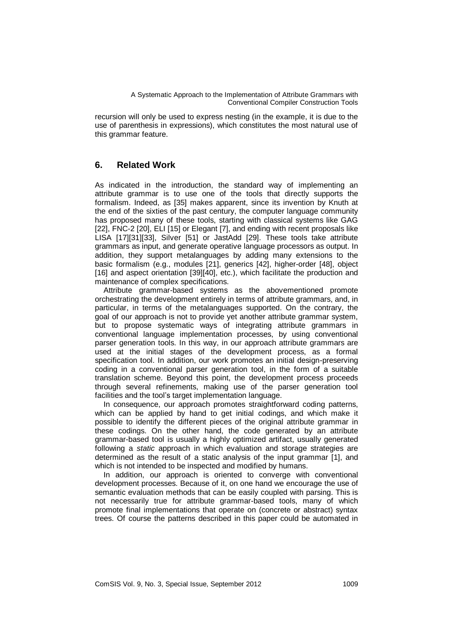recursion will only be used to express nesting (in the example, it is due to the use of parenthesis in expressions), which constitutes the most natural use of this grammar feature.

# **6. Related Work**

As indicated in the introduction, the standard way of implementing an attribute grammar is to use one of the tools that directly supports the formalism. Indeed, as [35] makes apparent, since its invention by Knuth at the end of the sixties of the past century, the computer language community has proposed many of these tools, starting with classical systems like GAG [22], FNC-2 [20], ELI [15] or Elegant [7], and ending with recent proposals like LISA [17][31][33], Silver [51] or JastAdd [29]. These tools take attribute grammars as input, and generate operative language processors as output. In addition, they support metalanguages by adding many extensions to the basic formalism (e.g., modules [21], generics [42], higher-order [48], object [16] and aspect orientation [39][40], etc.), which facilitate the production and maintenance of complex specifications.

Attribute grammar-based systems as the abovementioned promote orchestrating the development entirely in terms of attribute grammars, and, in particular, in terms of the metalanguages supported. On the contrary, the goal of our approach is not to provide yet another attribute grammar system, but to propose systematic ways of integrating attribute grammars in conventional language implementation processes, by using conventional parser generation tools. In this way, in our approach attribute grammars are used at the initial stages of the development process, as a formal specification tool. In addition, our work promotes an initial design-preserving coding in a conventional parser generation tool, in the form of a suitable translation scheme. Beyond this point, the development process proceeds through several refinements, making use of the parser generation tool facilities and the tool's target implementation language.

In consequence, our approach promotes straightforward coding patterns, which can be applied by hand to get initial codings, and which make it possible to identify the different pieces of the original attribute grammar in these codings. On the other hand, the code generated by an attribute grammar-based tool is usually a highly optimized artifact, usually generated following a *static* approach in which evaluation and storage strategies are determined as the result of a static analysis of the input grammar [1], and which is not intended to be inspected and modified by humans.

In addition, our approach is oriented to converge with conventional development processes. Because of it, on one hand we encourage the use of semantic evaluation methods that can be easily coupled with parsing. This is not necessarily true for attribute grammar-based tools, many of which promote final implementations that operate on (concrete or abstract) syntax trees. Of course the patterns described in this paper could be automated in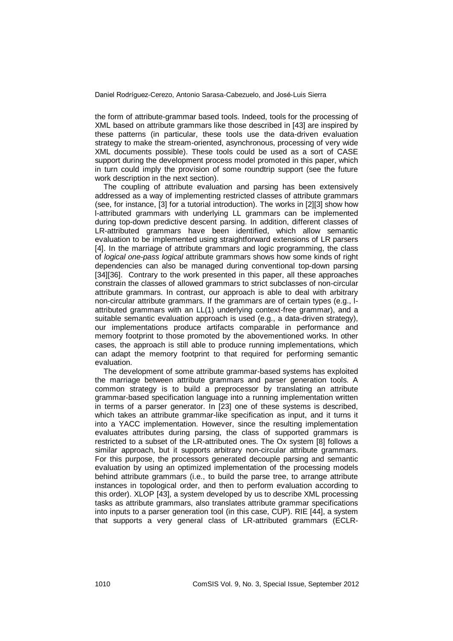the form of attribute-grammar based tools. Indeed, tools for the processing of XML based on attribute grammars like those described in [43] are inspired by these patterns (in particular, these tools use the data-driven evaluation strategy to make the stream-oriented, asynchronous, processing of very wide XML documents possible). These tools could be used as a sort of CASE support during the development process model promoted in this paper, which in turn could imply the provision of some roundtrip support (see the future work description in the next section).

The coupling of attribute evaluation and parsing has been extensively addressed as a way of implementing restricted classes of attribute grammars (see, for instance, [3] for a tutorial introduction). The works in [2][3] show how l-attributed grammars with underlying LL grammars can be implemented during top-down predictive descent parsing. In addition, different classes of LR-attributed grammars have been identified, which allow semantic evaluation to be implemented using straightforward extensions of LR parsers [4]. In the marriage of attribute grammars and logic programming, the class of *logical one-pass logical* attribute grammars shows how some kinds of right dependencies can also be managed during conventional top-down parsing [34][36]. Contrary to the work presented in this paper, all these approaches constrain the classes of allowed grammars to strict subclasses of non-circular attribute grammars. In contrast, our approach is able to deal with arbitrary non-circular attribute grammars. If the grammars are of certain types (e.g., lattributed grammars with an LL(1) underlying context-free grammar), and a suitable semantic evaluation approach is used (e.g., a data-driven strategy), our implementations produce artifacts comparable in performance and memory footprint to those promoted by the abovementioned works. In other cases, the approach is still able to produce running implementations, which can adapt the memory footprint to that required for performing semantic evaluation.

The development of some attribute grammar-based systems has exploited the marriage between attribute grammars and parser generation tools. A common strategy is to build a preprocessor by translating an attribute grammar-based specification language into a running implementation written in terms of a parser generator. In [23] one of these systems is described, which takes an attribute grammar-like specification as input, and it turns it into a YACC implementation. However, since the resulting implementation evaluates attributes during parsing, the class of supported grammars is restricted to a subset of the LR-attributed ones. The Ox system [8] follows a similar approach, but it supports arbitrary non-circular attribute grammars. For this purpose, the processors generated decouple parsing and semantic evaluation by using an optimized implementation of the processing models behind attribute grammars (i.e., to build the parse tree, to arrange attribute instances in topological order, and then to perform evaluation according to this order). XLOP [43], a system developed by us to describe XML processing tasks as attribute grammars, also translates attribute grammar specifications into inputs to a parser generation tool (in this case, CUP). RIE [44], a system that supports a very general class of LR-attributed grammars (ECLR-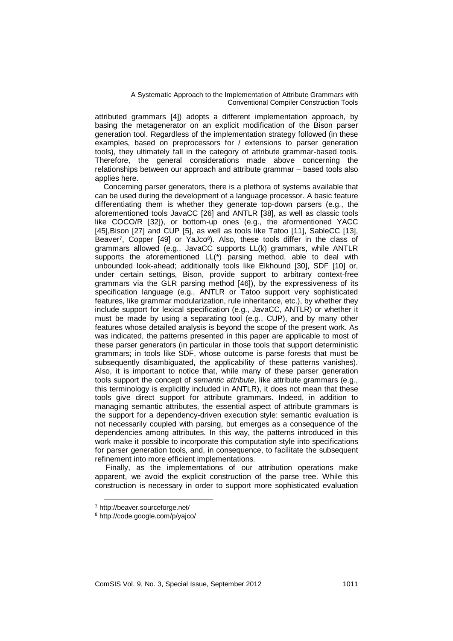attributed grammars [4]) adopts a different implementation approach, by basing the metagenerator on an explicit modification of the Bison parser generation tool. Regardless of the implementation strategy followed (in these examples, based on preprocessors for / extensions to parser generation tools), they ultimately fall in the category of attribute grammar-based tools. Therefore, the general considerations made above concerning the relationships between our approach and attribute grammar – based tools also applies here.

Concerning parser generators, there is a plethora of systems available that can be used during the development of a language processor. A basic feature differentiating them is whether they generate top-down parsers (e.g., the aforementioned tools JavaCC [26] and ANTLR [38], as well as classic tools like COCO/R [32]), or bottom-up ones (e.g., the aformentioned YACC [45], Bison [27] and CUP [5], as well as tools like Tatoo [11], SableCC [13], Beaver<sup>7</sup>, Copper [49] or YaJco<sup>8</sup>). Also, these tools differ in the class of grammars allowed (e.g., JavaCC supports LL(k) grammars, while ANTLR supports the aforementioned LL(\*) parsing method, able to deal with unbounded look-ahead; additionally tools like Elkhound [30], SDF [10] or, under certain settings, Bison, provide support to arbitrary context-free grammars via the GLR parsing method [46]), by the expressiveness of its specification language (e.g., ANTLR or Tatoo support very sophisticated features, like grammar modularization, rule inheritance, etc.), by whether they include support for lexical specification (e.g., JavaCC, ANTLR) or whether it must be made by using a separating tool (e.g., CUP), and by many other features whose detailed analysis is beyond the scope of the present work. As was indicated, the patterns presented in this paper are applicable to most of these parser generators (in particular in those tools that support deterministic grammars; in tools like SDF, whose outcome is parse forests that must be subsequently disambiguated, the applicability of these patterns vanishes). Also, it is important to notice that, while many of these parser generation tools support the concept of *semantic attribute*, like attribute grammars (e.g., this terminology is explicitly included in ANTLR), it does not mean that these tools give direct support for attribute grammars. Indeed, in addition to managing semantic attributes, the essential aspect of attribute grammars is the support for a dependency-driven execution style: semantic evaluation is not necessarily coupled with parsing, but emerges as a consequence of the dependencies among attributes. In this way, the patterns introduced in this work make it possible to incorporate this computation style into specifications for parser generation tools, and, in consequence, to facilitate the subsequent refinement into more efficient implementations.

Finally, as the implementations of our attribution operations make apparent, we avoid the explicit construction of the parse tree. While this construction is necessary in order to support more sophisticated evaluation

1

<sup>7</sup> http://beaver.sourceforge.net/

<sup>8</sup> http://code.google.com/p/yajco/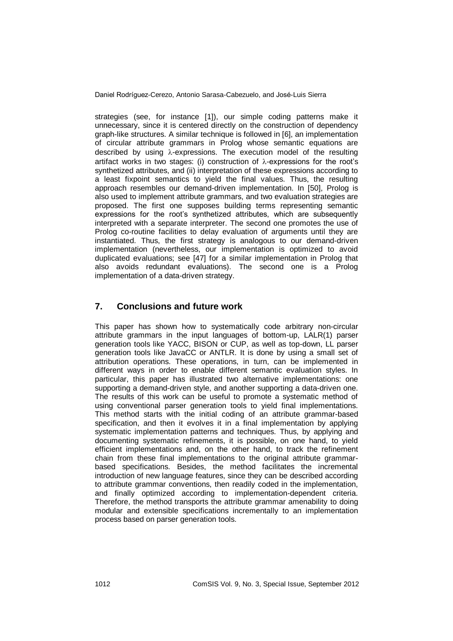strategies (see, for instance [1]), our simple coding patterns make it unnecessary, since it is centered directly on the construction of dependency graph-like structures. A similar technique is followed in [6], an implementation of circular attribute grammars in Prolog whose semantic equations are described by using  $\lambda$ -expressions. The execution model of the resulting artifact works in two stages: (i) construction of  $\lambda$ -expressions for the root's synthetized attributes, and (ii) interpretation of these expressions according to a least fixpoint semantics to yield the final values. Thus, the resulting approach resembles our demand-driven implementation. In [50], Prolog is also used to implement attribute grammars, and two evaluation strategies are proposed. The first one supposes building terms representing semantic expressions for the root's synthetized attributes, which are subsequently interpreted with a separate interpreter. The second one promotes the use of Prolog co-routine facilities to delay evaluation of arguments until they are instantiated. Thus, the first strategy is analogous to our demand-driven implementation (nevertheless, our implementation is optimized to avoid duplicated evaluations; see [47] for a similar implementation in Prolog that also avoids redundant evaluations). The second one is a Prolog implementation of a data-driven strategy.

# **7. Conclusions and future work**

This paper has shown how to systematically code arbitrary non-circular attribute grammars in the input languages of bottom-up, LALR(1) parser generation tools like YACC, BISON or CUP, as well as top-down, LL parser generation tools like JavaCC or ANTLR. It is done by using a small set of attribution operations. These operations, in turn, can be implemented in different ways in order to enable different semantic evaluation styles. In particular, this paper has illustrated two alternative implementations: one supporting a demand-driven style, and another supporting a data-driven one. The results of this work can be useful to promote a systematic method of using conventional parser generation tools to yield final implementations. This method starts with the initial coding of an attribute grammar-based specification, and then it evolves it in a final implementation by applying systematic implementation patterns and techniques. Thus, by applying and documenting systematic refinements, it is possible, on one hand, to yield efficient implementations and, on the other hand, to track the refinement chain from these final implementations to the original attribute grammarbased specifications. Besides, the method facilitates the incremental introduction of new language features, since they can be described according to attribute grammar conventions, then readily coded in the implementation, and finally optimized according to implementation-dependent criteria. Therefore, the method transports the attribute grammar amenability to doing modular and extensible specifications incrementally to an implementation process based on parser generation tools.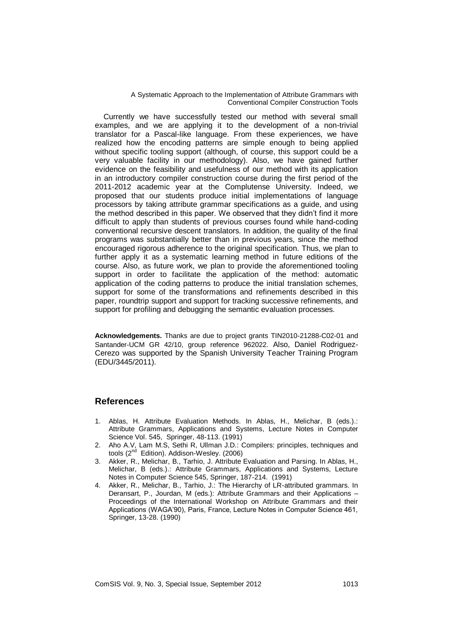Currently we have successfully tested our method with several small examples, and we are applying it to the development of a non-trivial translator for a Pascal-like language. From these experiences, we have realized how the encoding patterns are simple enough to being applied without specific tooling support (although, of course, this support could be a very valuable facility in our methodology). Also, we have gained further evidence on the feasibility and usefulness of our method with its application in an introductory compiler construction course during the first period of the 2011-2012 academic year at the Complutense University. Indeed, we proposed that our students produce initial implementations of language processors by taking attribute grammar specifications as a guide, and using the method described in this paper. We observed that they didn't find it more difficult to apply than students of previous courses found while hand-coding conventional recursive descent translators. In addition, the quality of the final programs was substantially better than in previous years, since the method encouraged rigorous adherence to the original specification. Thus, we plan to further apply it as a systematic learning method in future editions of the course. Also, as future work, we plan to provide the aforementioned tooling support in order to facilitate the application of the method: automatic application of the coding patterns to produce the initial translation schemes, support for some of the transformations and refinements described in this paper, roundtrip support and support for tracking successive refinements, and support for profiling and debugging the semantic evaluation processes.

**Acknowledgements.** Thanks are due to project grants TIN2010-21288-C02-01 and Santander-UCM GR 42/10, group reference 962022. Also, Daniel Rodriguez-Cerezo was supported by the Spanish University Teacher Training Program (EDU/3445/2011).

# **References**

- 1. Ablas, H. Attribute Evaluation Methods. In Ablas, H., Melichar, B (eds.).: Attribute Grammars, Applications and Systems, Lecture Notes in Computer Science Vol. 545, Springer, 48-113. (1991)
- <span id="page-30-0"></span>2. Aho A.V, Lam M.S, Sethi R, Ullman J.D.: Compilers: principles, techniques and tools (2<sup>nd</sup> Edition). Addison-Wesley. (2006)
- 3. Akker, R., Melichar, B., Tarhio, J. Attribute Evaluation and Parsing. In Ablas, H., Melichar, B (eds.).: Attribute Grammars, Applications and Systems, Lecture Notes in Computer Science 545, Springer, 187-214. (1991)
- 4. Akker, R., Melichar, B., Tarhio, J.: The Hierarchy of LR-attributed grammars. In Deransart, P., Jourdan, M (eds.): Attribute Grammars and their Applications – Proceedings of the International Workshop on Attribute Grammars and their Applications (WAGA'90), Paris, France, Lecture Notes in Computer Science 461, Springer, 13-28. (1990)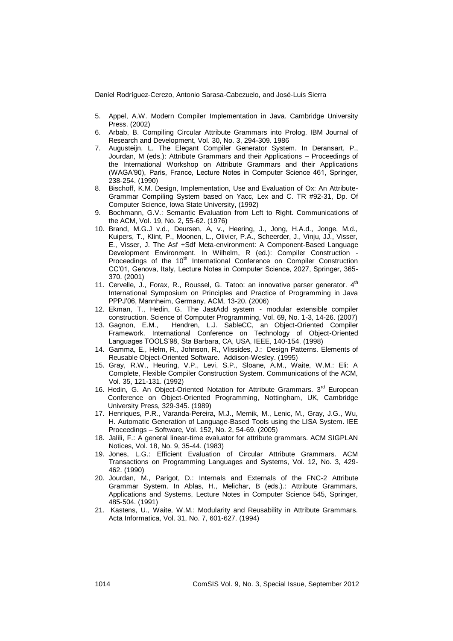- 5. Appel, A.W. Modern Compiler Implementation in Java. Cambridge University Press. (2002)
- 6. Arbab, B. Compiling Circular Attribute Grammars into Prolog. IBM Journal of Research and Development, Vol. 30, No. 3, 294-309. 1986
- 7. Augusteijn, L. The Elegant Compiler Generator System. In Deransart, P., Jourdan, M (eds.): Attribute Grammars and their Applications – Proceedings of the International Workshop on Attribute Grammars and their Applications (WAGA'90), Paris, France, Lecture Notes in Computer Science 461, Springer, 238-254. (1990)
- 8. Bischoff, K.M. Design, Implementation, Use and Evaluation of Ox: An Attribute-Grammar Compiling System based on Yacc, Lex and C. TR #92-31, Dp. Of Computer Science, Iowa State University, (1992)
- 9. Bochmann, G.V.: Semantic Evaluation from Left to Right. Communications of the ACM, Vol. 19, No. 2, 55-62. (1976)
- 10. Brand, M.G.J v.d., Deursen, A, v., Heering, J., Jong, H.A.d., Jonge, M.d., Kuipers, T., Klint, P., Moonen, L., Olivier, P.A., Scheerder, J., Vinju, JJ., Visser, E., Visser, J. The Asf +Sdf Meta-environment: A Component-Based Language Development Environment. In Wilhelm, R (ed.): Compiler Construction - Proceedings of the 10<sup>th</sup> International Conference on Compiler Construction CC'01, Genova, Italy, Lecture Notes in Computer Science, 2027, Springer, 365- 370. (2001)
- 11. Cervelle, J., Forax, R., Roussel, G. Tatoo: an innovative parser generator. 4<sup>th</sup> International Symposium on Principles and Practice of Programming in Java PPPJ'06, Mannheim, Germany, ACM, 13-20. (2006)
- 12. Ekman, T., Hedin, G. The JastAdd system modular extensible compiler construction. Science of Computer Programming, Vol. 69, No. 1-3, 14-26. (2007)
- 13. Gagnon, E.M., Hendren, L.J. SableCC, an Object-Oriented Compiler Framework. International Conference on Technology of Object-Oriented Languages TOOLS'98, Sta Barbara, CA, USA, IEEE, 140-154. (1998)
- 14. Gamma, E., Helm, R., Johnson, R., Vlissides, J.: Design Patterns. Elements of Reusable Object-Oriented Software. Addison-Wesley. (1995)
- 15. Gray, R.W., Heuring, V.P., Levi, S.P., Sloane, A.M., Waite, W.M.: Eli: A Complete, Flexible Compiler Construction System. Communications of the ACM, Vol. 35, 121-131. (1992)
- 16. Hedin, G. An Object-Oriented Notation for Attribute Grammars. 3<sup>rd</sup> European Conference on Object-Oriented Programming, Nottingham, UK, Cambridge University Press, 329-345. (1989)
- 17. Henriques, P.R., Varanda-Pereira, M.J., Mernik, M., Lenic, M., Gray, J.G., Wu, H. Automatic Generation of Language-Based Tools using the LISA System. IEE Proceedings – Software, Vol. 152, No. 2, 54-69. (2005)
- 18. Jalili, F.: A general linear-time evaluator for attribute grammars. ACM SIGPLAN Notices, Vol. 18, No. 9, 35-44. (1983)
- 19. Jones, L.G.: Efficient Evaluation of Circular Attribute Grammars. ACM Transactions on Programming Languages and Systems, Vol. 12, No. 3, 429- 462. (1990)
- 20. Jourdan, M., Parigot, D.: Internals and Externals of the FNC-2 Attribute Grammar System. In Ablas, H., Melichar, B (eds.).: Attribute Grammars, Applications and Systems, Lecture Notes in Computer Science 545, Springer, 485-504. (1991)
- 21. Kastens, U., Waite, W.M.: Modularity and Reusability in Attribute Grammars. Acta Informatica, Vol. 31, No. 7, 601-627. (1994)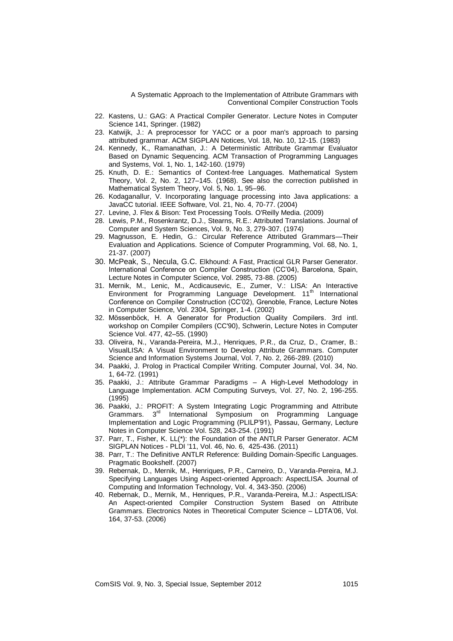- 22. Kastens, U.: GAG: A Practical Compiler Generator. Lecture Notes in Computer Science 141, Springer. (1982)
- 23. Katwijk, J.: A preprocessor for YACC or a poor man's approach to parsing attributed grammar. ACM SIGPLAN Notices, Vol. 18, No. 10, 12-15. (1983)
- 24. Kennedy, K., Ramanathan, J.: A Deterministic Attribute Grammar Evaluator Based on Dynamic Sequencing. ACM Transaction of Programming Languages and Systems, Vol. 1, No. 1, 142-160. (1979)
- 25. Knuth, D. E.: Semantics of Context-free Languages. Mathematical System Theory, Vol. 2, No. 2, 127–145. (1968). See also the correction published in Mathematical System Theory, Vol. 5, No. 1, 95–96.
- 26. Kodaganallur, V. Incorporating language processing into Java applications: a JavaCC tutorial. IEEE Software, Vol. 21, No. 4, 70-77. (2004)
- 27. Levine, J. Flex & Bison: Text Processing Tools. O'Reilly Media. (2009)
- 28. Lewis, P.M., Rosenkrantz, D.J., Stearns, R.E.: Attributed Translations. Journal of Computer and System Sciences, Vol. 9, No. 3, 279-307. (1974)
- 29. Magnusson, E. Hedin, G.: Circular Reference Attributed Grammars—Their Evaluation and Applications. Science of Computer Programming, Vol. 68, No. 1, 21-37. (2007)
- 30. McPeak, S., Necula, G.C. Elkhound: A Fast, Practical GLR Parser Generator. International Conference on Compiler Construction (CC'04), Barcelona, Spain, Lecture Notes in Computer Science, Vol. 2985, 73-88. (2005)
- 31. Mernik, M., Lenic, M., Acdicausevic, E., Zumer, V.: LISA: An Interactive Environment for Programming Language Development. 11<sup>th</sup> International Conference on Compiler Construction (CC'02), Grenoble, France, Lecture Notes in Computer Science, Vol. 2304, Springer, 1-4. (2002)
- 32. Mössenböck, H. A Generator for Production Quality Compilers. 3rd intl. workshop on Compiler Compilers (CC'90), Schwerin, Lecture Notes in Computer Science Vol. 477, 42–55. (1990)
- 33. Oliveira, N., Varanda-Pereira, M.J., Henriques, P.R., da Cruz, D., Cramer, B.: VisualLISA: A Visual Environment to Develop Attribute Grammars. Computer Science and Information Systems Journal, Vol. 7, No. 2, 266-289. (2010)
- 34. Paakki, J. Prolog in Practical Compiler Writing. Computer Journal, Vol. 34, No. 1, 64-72. (1991)
- 35. Paakki, J.: Attribute Grammar Paradigms A High-Level Methodology in Language Implementation. ACM Computing Surveys, Vol. 27, No. 2, 196-255. (1995)
- 36. Paakki, J.: PROFIT: A System Integrating Logic Programming and Attribute Grammars. 3<sup>rd</sup> International Symposium on Programming Language Implementation and Logic Programming (PLILP'91), Passau, Germany, Lecture Notes in Computer Science Vol. 528, 243-254. (1991)
- 37. Parr, T., Fisher, K. LL(\*): the Foundation of the ANTLR Parser Generator. ACM SIGPLAN Notices - PLDI '11, Vol. 46, No. 6, 425-436. (2011)
- 38. Parr, T.: The Definitive ANTLR Reference: Building Domain-Specific Languages. Pragmatic Bookshelf. (2007)
- 39. Rebernak, D., Mernik, M., Henriques, P.R., Carneiro, D., Varanda-Pereira, M.J. Specifying Languages Using Aspect-oriented Approach: AspectLISA. Journal of Computing and Information Technology, Vol. 4, 343-350. (2006)
- 40. Rebernak, D., Mernik, M., Henriques, P.R., Varanda-Pereira, M.J.: AspectLISA: An Aspect-oriented Compiler Construction System Based on Attribute Grammars. Electronics Notes in Theoretical Computer Science – LDTA'06, Vol. 164, 37-53. (2006)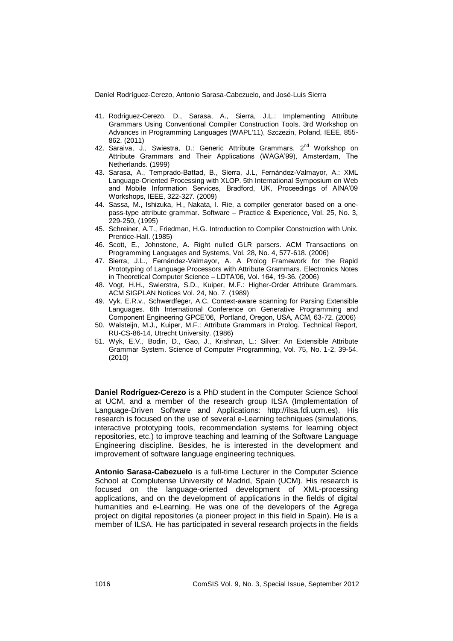- 41. Rodriguez-Cerezo, D., Sarasa, A., Sierra, J.L.: Implementing Attribute Grammars Using Conventional Compiler Construction Tools. 3rd Workshop on Advances in Programming Languages (WAPL'11), Szczezin, Poland, IEEE, 855- 862. (2011)
- 42. Saraiva, J., Swiestra, D.: Generic Attribute Grammars. 2<sup>nd</sup> Workshop on Attribute Grammars and Their Applications (WAGA'99), Amsterdam, The Netherlands. (1999)
- 43. Sarasa, A., Temprado-Battad, B., Sierra, J.L, Fernández-Valmayor, A.: XML Language-Oriented Processing with XLOP. 5th International Symposium on Web and Mobile Information Services, Bradford, UK, Proceedings of AINA'09 Workshops, IEEE, 322-327. (2009)
- 44. Sassa, M., Ishizuka, H., Nakata, I. Rie, a compiler generator based on a onepass-type attribute grammar. Software – Practice & Experience, Vol. 25, No. 3, 229-250, (1995)
- 45. Schreiner, A.T., Friedman, H.G. Introduction to Compiler Construction with Unix. Prentice-Hall. (1985)
- 46. Scott, E., Johnstone, A. Right nulled GLR parsers. ACM Transactions on Programming Languages and Systems, Vol. 28, No. 4, 577-618. (2006)
- 47. Sierra, J.L., Fernández-Valmayor, A. A Prolog Framework for the Rapid Prototyping of Language Processors with Attribute Grammars. Electronics Notes in Theoretical Computer Science – LDTA'06, Vol. 164, 19-36. (2006)
- 48. Vogt, H.H., Swierstra, S.D., Kuiper, M.F.: Higher-Order Attribute Grammars. ACM SIGPLAN Notices Vol. 24, No. 7. (1989)
- 49. Vyk, E.R.v., Schwerdfeger, A.C. Context-aware scanning for Parsing Extensible Languages. 6th International Conference on Generative Programming and Component Engineering GPCE'06, Portland, Oregon, USA, ACM, 63-72. (2006)
- 50. Walsteijn, M.J., Kuiper, M.F.: Attribute Grammars in Prolog. Technical Report, RU-CS-86-14, Utrecht University. (1986)
- 51. Wyk, E.V., Bodin, D., Gao, J., Krishnan, L.: Silver: An Extensible Attribute Grammar System. Science of Computer Programming, Vol. 75, No. 1-2, 39-54. (2010)

**Daniel Rodríguez-Cerezo** is a PhD student in the Computer Science School at UCM, and a member of the research group ILSA (Implementation of Language-Driven Software and Applications: http://ilsa.fdi.ucm.es). His research is focused on the use of several e-Learning techniques (simulations, interactive prototyping tools, recommendation systems for learning object repositories, etc.) to improve teaching and learning of the Software Language Engineering discipline. Besides, he is interested in the development and improvement of software language engineering techniques.

**Antonio Sarasa-Cabezuelo** is a full-time Lecturer in the Computer Science School at Complutense University of Madrid, Spain (UCM). His research is focused on the language-oriented development of XML-processing applications, and on the development of applications in the fields of digital humanities and e-Learning. He was one of the developers of the Agrega project on digital repositories (a pioneer project in this field in Spain). He is a member of ILSA. He has participated in several research projects in the fields